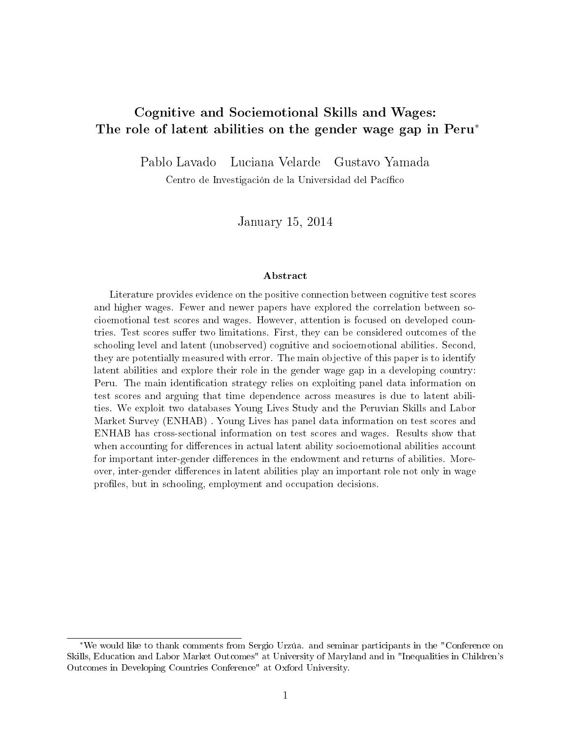# Cognitive and Sociemotional Skills and Wages: The role of latent abilities on the gender wage gap in Peru<sup>\*</sup>

Pablo Lavado Luciana Velarde Gustavo Yamada

Centro de Investigación de la Universidad del Pacífico

January 15, 2014

#### Abstract

Literature provides evidence on the positive connection between cognitive test scores and higher wages. Fewer and newer papers have explored the correlation between socioemotional test scores and wages. However, attention is focused on developed countries. Test scores suffer two limitations. First, they can be considered outcomes of the schooling level and latent (unobserved) cognitive and socioemotional abilities. Second, they are potentially measured with error. The main objective of this paper is to identify latent abilities and explore their role in the gender wage gap in a developing country: Peru. The main identification strategy relies on exploiting panel data information on test scores and arguing that time dependence across measures is due to latent abilities. We exploit two databases Young Lives Study and the Peruvian Skills and Labor Market Survey (ENHAB) . Young Lives has panel data information on test scores and ENHAB has cross-sectional information on test scores and wages. Results show that when accounting for differences in actual latent ability socioemotional abilities account for important inter-gender differences in the endowment and returns of abilities. Moreover, inter-gender differences in latent abilities play an important role not only in wage profiles, but in schooling, employment and occupation decisions.

<sup>∗</sup>We would like to thank comments from Sergio Urzúa. and seminar participants in the "Conference on Skills, Education and Labor Market Outcomes" at University of Maryland and in "Inequalities in Children's Outcomes in Developing Countries Conference" at Oxford University.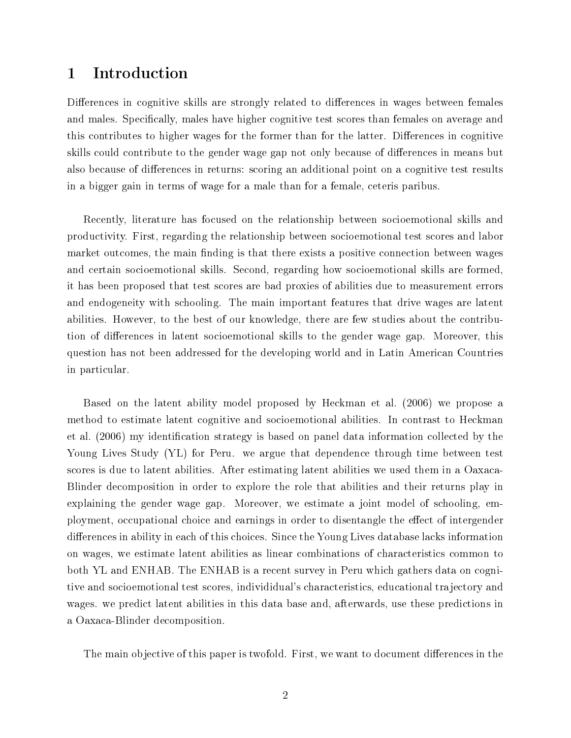# 1 Introduction

Differences in cognitive skills are strongly related to differences in wages between females and males. Specifically, males have higher cognitive test scores than females on average and this contributes to higher wages for the former than for the latter. Differences in cognitive skills could contribute to the gender wage gap not only because of differences in means but also because of differences in returns: scoring an additional point on a cognitive test results in a bigger gain in terms of wage for a male than for a female, ceteris paribus.

Recently, literature has focused on the relationship between socioemotional skills and productivity. First, regarding the relationship between socioemotional test scores and labor market outcomes, the main finding is that there exists a positive connection between wages and certain socioemotional skills. Second, regarding how socioemotional skills are formed, it has been proposed that test scores are bad proxies of abilities due to measurement errors and endogeneity with schooling. The main important features that drive wages are latent abilities. However, to the best of our knowledge, there are few studies about the contribution of differences in latent socioemotional skills to the gender wage gap. Moreover, this question has not been addressed for the developing world and in Latin American Countries in particular.

Based on the latent ability model proposed by Heckman et al. (2006) we propose a method to estimate latent cognitive and socioemotional abilities. In contrast to Heckman et al. (2006) my identification strategy is based on panel data information collected by the Young Lives Study (YL) for Peru. we argue that dependence through time between test scores is due to latent abilities. After estimating latent abilities we used them in a Oaxaca-Blinder decomposition in order to explore the role that abilities and their returns play in explaining the gender wage gap. Moreover, we estimate a joint model of schooling, employment, occupational choice and earnings in order to disentangle the effect of intergender differences in ability in each of this choices. Since the Young Lives database lacks information on wages, we estimate latent abilities as linear combinations of characteristics common to both YL and ENHAB. The ENHAB is a recent survey in Peru which gathers data on cognitive and socioemotional test scores, individidual's characteristics, educational trajectory and wages. we predict latent abilities in this data base and, afterwards, use these predictions in a Oaxaca-Blinder decomposition.

The main objective of this paper is twofold. First, we want to document differences in the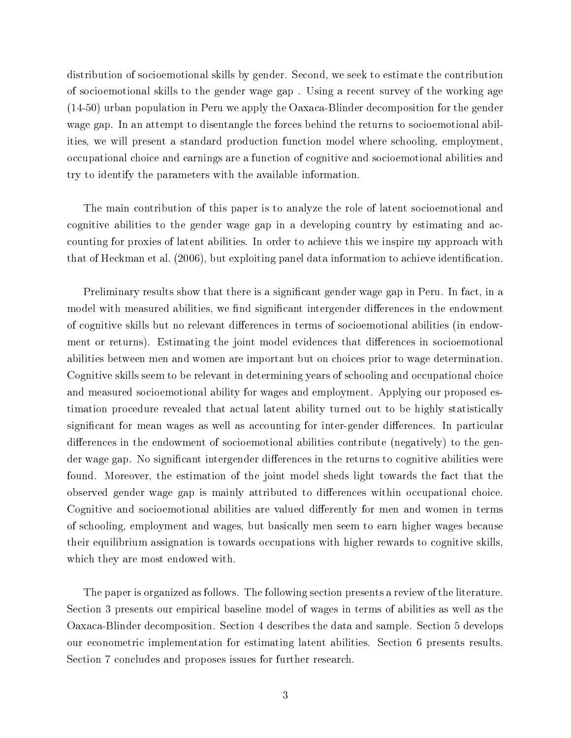distribution of socioemotional skills by gender. Second, we seek to estimate the contribution of socioemotional skills to the gender wage gap . Using a recent survey of the working age (14-50) urban population in Peru we apply the Oaxaca-Blinder decomposition for the gender wage gap. In an attempt to disentangle the forces behind the returns to socioemotional abilities, we will present a standard production function model where schooling, employment, occupational choice and earnings are a function of cognitive and socioemotional abilities and try to identify the parameters with the available information.

The main contribution of this paper is to analyze the role of latent socioemotional and cognitive abilities to the gender wage gap in a developing country by estimating and accounting for proxies of latent abilities. In order to achieve this we inspire my approach with that of Heckman et al.  $(2006)$ , but exploiting panel data information to achieve identification.

Preliminary results show that there is a significant gender wage gap in Peru. In fact, in a model with measured abilities, we find significant intergender differences in the endowment of cognitive skills but no relevant differences in terms of socioemotional abilities (in endowment or returns). Estimating the joint model evidences that differences in socioemotional abilities between men and women are important but on choices prior to wage determination. Cognitive skills seem to be relevant in determining years of schooling and occupational choice and measured socioemotional ability for wages and employment. Applying our proposed estimation procedure revealed that actual latent ability turned out to be highly statistically significant for mean wages as well as accounting for inter-gender differences. In particular differences in the endowment of socioemotional abilities contribute (negatively) to the gender wage gap. No significant intergender differences in the returns to cognitive abilities were found. Moreover, the estimation of the joint model sheds light towards the fact that the observed gender wage gap is mainly attributed to differences within occupational choice. Cognitive and socioemotional abilities are valued differently for men and women in terms of schooling, employment and wages, but basically men seem to earn higher wages because their equilibrium assignation is towards occupations with higher rewards to cognitive skills, which they are most endowed with.

The paper is organized as follows. The following section presents a review of the literature. Section 3 presents our empirical baseline model of wages in terms of abilities as well as the Oaxaca-Blinder decomposition. Section 4 describes the data and sample. Section 5 develops our econometric implementation for estimating latent abilities. Section 6 presents results. Section 7 concludes and proposes issues for further research.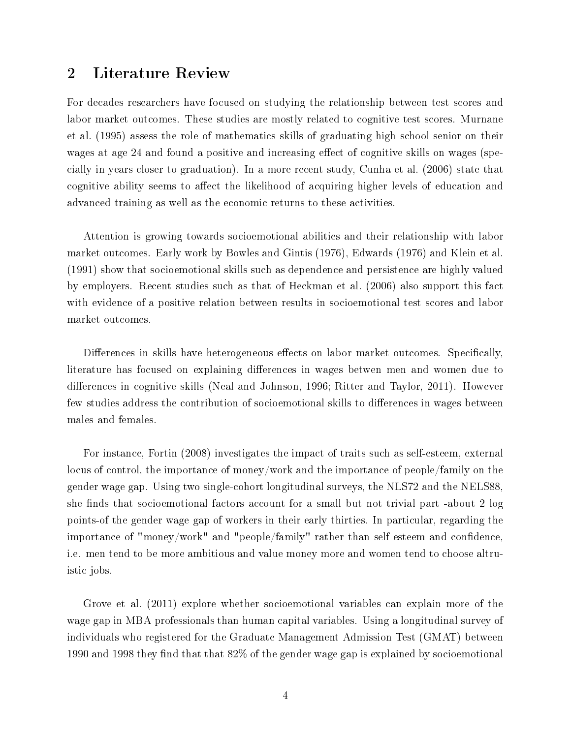# 2 Literature Review

For decades researchers have focused on studying the relationship between test scores and labor market outcomes. These studies are mostly related to cognitive test scores. Murnane et al. (1995) assess the role of mathematics skills of graduating high school senior on their wages at age 24 and found a positive and increasing effect of cognitive skills on wages (specially in years closer to graduation). In a more recent study, Cunha et al. (2006) state that cognitive ability seems to affect the likelihood of acquiring higher levels of education and advanced training as well as the economic returns to these activities.

Attention is growing towards socioemotional abilities and their relationship with labor market outcomes. Early work by Bowles and Gintis (1976), Edwards (1976) and Klein et al. (1991) show that socioemotional skills such as dependence and persistence are highly valued by employers. Recent studies such as that of Heckman et al. (2006) also support this fact with evidence of a positive relation between results in socioemotional test scores and labor market outcomes.

Differences in skills have heterogeneous effects on labor market outcomes. Specifically, literature has focused on explaining differences in wages betwen men and women due to differences in cognitive skills (Neal and Johnson, 1996; Ritter and Taylor, 2011). However few studies address the contribution of socioemotional skills to differences in wages between males and females.

For instance, Fortin (2008) investigates the impact of traits such as self-esteem, external locus of control, the importance of money/work and the importance of people/family on the gender wage gap. Using two single-cohort longitudinal surveys, the NLS72 and the NELS88, she finds that socioemotional factors account for a small but not trivial part -about 2 log points-of the gender wage gap of workers in their early thirties. In particular, regarding the importance of "money/work" and "people/family" rather than self-esteem and confidence, i.e. men tend to be more ambitious and value money more and women tend to choose altruistic jobs.

Grove et al. (2011) explore whether socioemotional variables can explain more of the wage gap in MBA professionals than human capital variables. Using a longitudinal survey of individuals who registered for the Graduate Management Admission Test (GMAT) between 1990 and 1998 they find that that  $82\%$  of the gender wage gap is explained by socioemotional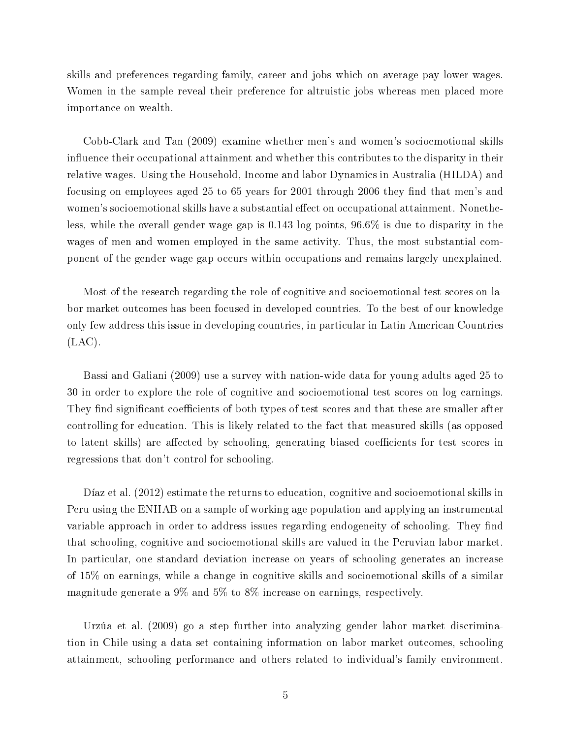skills and preferences regarding family, career and jobs which on average pay lower wages. Women in the sample reveal their preference for altruistic jobs whereas men placed more importance on wealth.

Cobb-Clark and Tan (2009) examine whether men's and women's socioemotional skills influence their occupational attainment and whether this contributes to the disparity in their relative wages. Using the Household, Income and labor Dynamics in Australia (HILDA) and focusing on employees aged 25 to 65 years for 2001 through 2006 they find that men's and women's socioemotional skills have a substantial effect on occupational attainment. Nonetheless, while the overall gender wage gap is 0.143 log points, 96.6% is due to disparity in the wages of men and women employed in the same activity. Thus, the most substantial component of the gender wage gap occurs within occupations and remains largely unexplained.

Most of the research regarding the role of cognitive and socioemotional test scores on labor market outcomes has been focused in developed countries. To the best of our knowledge only few address this issue in developing countries, in particular in Latin American Countries (LAC).

Bassi and Galiani (2009) use a survey with nation-wide data for young adults aged 25 to 30 in order to explore the role of cognitive and socioemotional test scores on log earnings. They find significant coefficients of both types of test scores and that these are smaller after controlling for education. This is likely related to the fact that measured skills (as opposed to latent skills) are affected by schooling, generating biased coefficients for test scores in regressions that don't control for schooling.

Díaz et al. (2012) estimate the returns to education, cognitive and socioemotional skills in Peru using the ENHAB on a sample of working age population and applying an instrumental variable approach in order to address issues regarding endogeneity of schooling. They find that schooling, cognitive and socioemotional skills are valued in the Peruvian labor market. In particular, one standard deviation increase on years of schooling generates an increase of 15% on earnings, while a change in cognitive skills and socioemotional skills of a similar magnitude generate a 9% and 5% to 8% increase on earnings, respectively.

Urzúa et al. (2009) go a step further into analyzing gender labor market discrimination in Chile using a data set containing information on labor market outcomes, schooling attainment, schooling performance and others related to individual's family environment.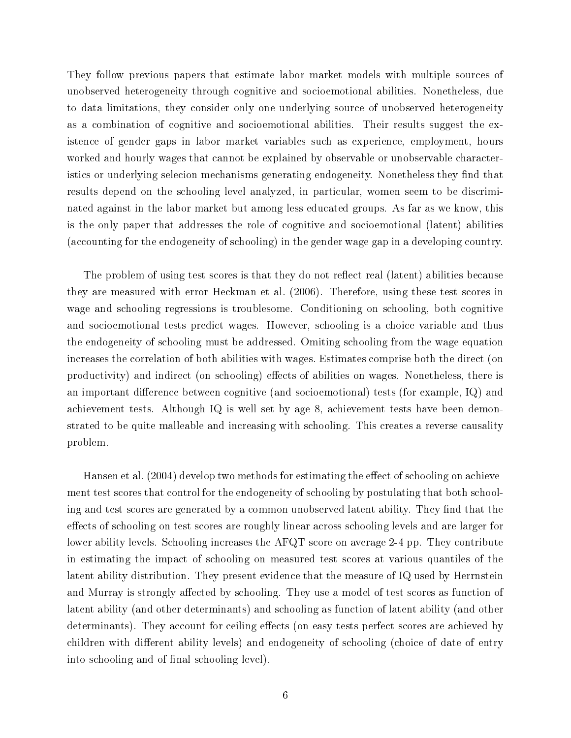They follow previous papers that estimate labor market models with multiple sources of unobserved heterogeneity through cognitive and socioemotional abilities. Nonetheless, due to data limitations, they consider only one underlying source of unobserved heterogeneity as a combination of cognitive and socioemotional abilities. Their results suggest the existence of gender gaps in labor market variables such as experience, employment, hours worked and hourly wages that cannot be explained by observable or unobservable characteristics or underlying selecion mechanisms generating endogeneity. Nonetheless they find that results depend on the schooling level analyzed, in particular, women seem to be discriminated against in the labor market but among less educated groups. As far as we know, this is the only paper that addresses the role of cognitive and socioemotional (latent) abilities (accounting for the endogeneity of schooling) in the gender wage gap in a developing country.

The problem of using test scores is that they do not reflect real (latent) abilities because they are measured with error Heckman et al. (2006). Therefore, using these test scores in wage and schooling regressions is troublesome. Conditioning on schooling, both cognitive and socioemotional tests predict wages. However, schooling is a choice variable and thus the endogeneity of schooling must be addressed. Omiting schooling from the wage equation increases the correlation of both abilities with wages. Estimates comprise both the direct (on productivity) and indirect (on schooling) effects of abilities on wages. Nonetheless, there is an important difference between cognitive (and socioemotional) tests (for example,  $IQ$ ) and achievement tests. Although IQ is well set by age 8, achievement tests have been demonstrated to be quite malleable and increasing with schooling. This creates a reverse causality problem.

Hansen et al. (2004) develop two methods for estimating the effect of schooling on achievement test scores that control for the endogeneity of schooling by postulating that both schooling and test scores are generated by a common unobserved latent ability. They find that the effects of schooling on test scores are roughly linear across schooling levels and are larger for lower ability levels. Schooling increases the AFQT score on average 2-4 pp. They contribute in estimating the impact of schooling on measured test scores at various quantiles of the latent ability distribution. They present evidence that the measure of IQ used by Herrnstein and Murray is strongly affected by schooling. They use a model of test scores as function of latent ability (and other determinants) and schooling as function of latent ability (and other determinants). They account for ceiling effects (on easy tests perfect scores are achieved by children with different ability levels) and endogeneity of schooling (choice of date of entry into schooling and of final schooling level).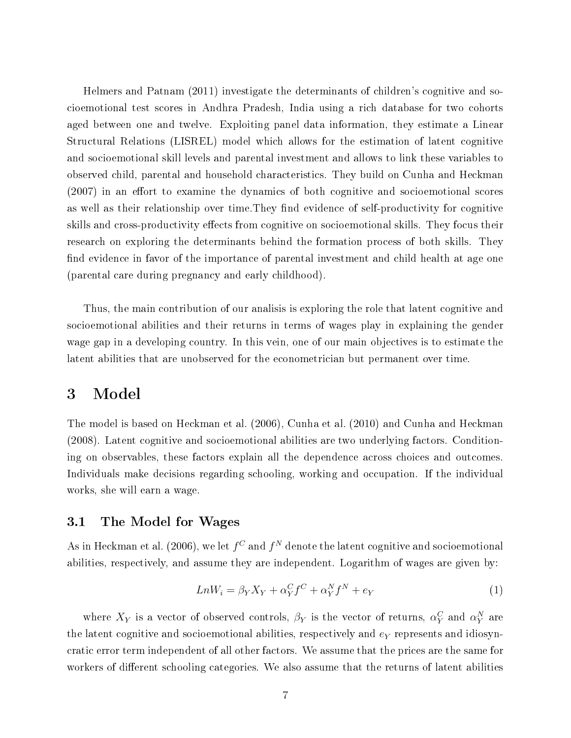Helmers and Patnam (2011) investigate the determinants of children's cognitive and socioemotional test scores in Andhra Pradesh, India using a rich database for two cohorts aged between one and twelve. Exploiting panel data information, they estimate a Linear Structural Relations (LISREL) model which allows for the estimation of latent cognitive and socioemotional skill levels and parental investment and allows to link these variables to observed child, parental and household characteristics. They build on Cunha and Heckman  $(2007)$  in an effort to examine the dynamics of both cognitive and socioemotional scores as well as their relationship over time. They find evidence of self-productivity for cognitive skills and cross-productivity effects from cognitive on socioemotional skills. They focus their research on exploring the determinants behind the formation process of both skills. They find evidence in favor of the importance of parental investment and child health at age one (parental care during pregnancy and early childhood).

Thus, the main contribution of our analisis is exploring the role that latent cognitive and socioemotional abilities and their returns in terms of wages play in explaining the gender wage gap in a developing country. In this vein, one of our main objectives is to estimate the latent abilities that are unobserved for the econometrician but permanent over time.

### 3 Model

The model is based on Heckman et al. (2006), Cunha et al. (2010) and Cunha and Heckman (2008). Latent cognitive and socioemotional abilities are two underlying factors. Conditioning on observables, these factors explain all the dependence across choices and outcomes. Individuals make decisions regarding schooling, working and occupation. If the individual works, she will earn a wage.

### 3.1 The Model for Wages

As in Heckman et al. (2006), we let  $f^C$  and  $f^N$  denote the latent cognitive and socioemotional abilities, respectively, and assume they are independent. Logarithm of wages are given by:

$$
LnW_i = \beta_Y X_Y + \alpha_Y^C f^C + \alpha_Y^N f^N + e_Y \tag{1}
$$

where  $X_Y$  is a vector of observed controls,  $\beta_Y$  is the vector of returns,  $\alpha_Y^C$  and  $\alpha_Y^N$  are the latent cognitive and socioemotional abilities, respectively and  $e<sub>Y</sub>$  represents and idiosyncratic error term independent of all other factors. We assume that the prices are the same for workers of different schooling categories. We also assume that the returns of latent abilities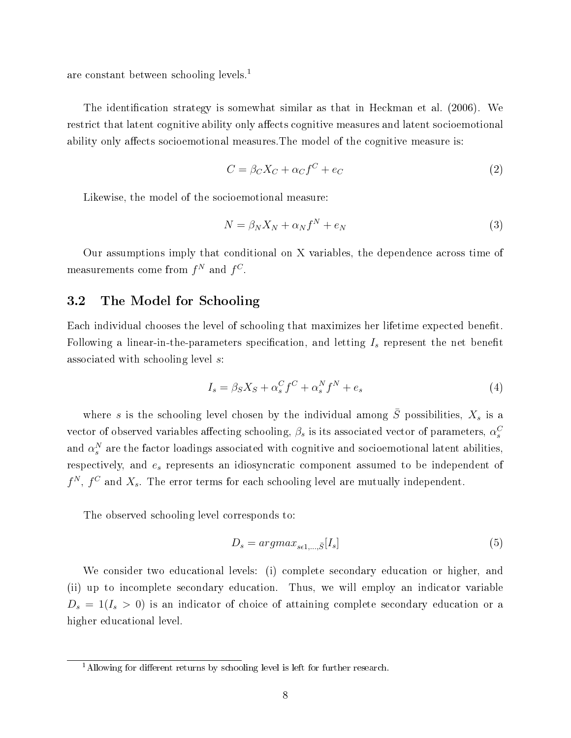are constant between schooling levels.<sup>1</sup>

The identification strategy is somewhat similar as that in Heckman et al. (2006). We restrict that latent cognitive ability only affects cognitive measures and latent socioemotional ability only affects socioemotional measures. The model of the cognitive measure is:

$$
C = \beta_C X_C + \alpha_C f^C + e_C \tag{2}
$$

Likewise, the model of the socioemotional measure:

$$
N = \beta_N X_N + \alpha_N f^N + e_N \tag{3}
$$

Our assumptions imply that conditional on X variables, the dependence across time of measurements come from  $f^N$  and  $f^C$ .

#### 3.2 The Model for Schooling

Each individual chooses the level of schooling that maximizes her lifetime expected benet. Following a linear-in-the-parameters specification, and letting  $I_s$  represent the net benefit associated with schooling level s:

$$
I_s = \beta_S X_S + \alpha_s^C f^C + \alpha_s^N f^N + e_s \tag{4}
$$

where s is the schooling level chosen by the individual among  $\overline{S}$  possibilities,  $X_s$  is a vector of observed variables affecting schooling,  $\beta_s$  is its associated vector of parameters,  $\alpha_s^C$ and  $\alpha_s^N$  are the factor loadings associated with cognitive and socioemotional latent abilities, respectively, and e<sup>s</sup> represents an idiosyncratic component assumed to be independent of  $f^N$ ,  $f^C$  and  $X_s$ . The error terms for each schooling level are mutually independent.

The observed schooling level corresponds to:

$$
D_s = argmax_{s \in 1, \dots, \bar{S}} [I_s]
$$
\n<sup>(5)</sup>

We consider two educational levels: (i) complete secondary education or higher, and (ii) up to incomplete secondary education. Thus, we will employ an indicator variable  $D_s = 1(I_s > 0)$  is an indicator of choice of attaining complete secondary education or a higher educational level.

<sup>&</sup>lt;sup>1</sup>Allowing for different returns by schooling level is left for further research.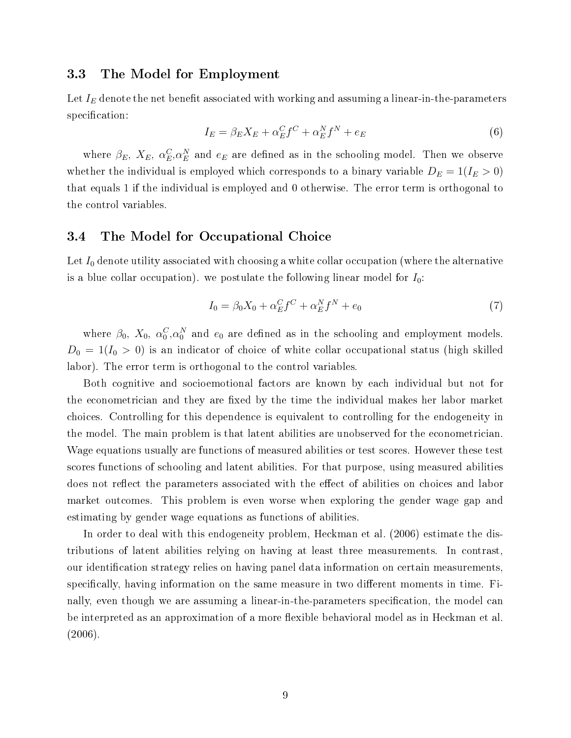#### 3.3 The Model for Employment

Let  $I_E$  denote the net benefit associated with working and assuming a linear-in-the-parameters specification:

$$
I_E = \beta_E X_E + \alpha_E^C f^C + \alpha_E^N f^N + e_E \tag{6}
$$

where  $\beta_E$ ,  $X_E$ ,  $\alpha_E^C$ ,  $\alpha_E^N$  and  $e_E$  are defined as in the schooling model. Then we observe whether the individual is employed which corresponds to a binary variable  $D_E = 1(I_E > 0)$ that equals 1 if the individual is employed and 0 otherwise. The error term is orthogonal to the control variables.

#### 3.4 The Model for Occupational Choice

Let  $I_0$  denote utility associated with choosing a white collar occupation (where the alternative is a blue collar occupation). we postulate the following linear model for  $I_0$ :

$$
I_0 = \beta_0 X_0 + \alpha_E^C f^C + \alpha_E^N f^N + e_0 \tag{7}
$$

where  $\beta_0$ ,  $X_0$ ,  $\alpha_0^C$ ,  $\alpha_0^N$  and  $e_0$  are defined as in the schooling and employment models.  $D_0 = 1(I_0 > 0)$  is an indicator of choice of white collar occupational status (high skilled labor). The error term is orthogonal to the control variables.

Both cognitive and socioemotional factors are known by each individual but not for the econometrician and they are fixed by the time the individual makes her labor market choices. Controlling for this dependence is equivalent to controlling for the endogeneity in the model. The main problem is that latent abilities are unobserved for the econometrician. Wage equations usually are functions of measured abilities or test scores. However these test scores functions of schooling and latent abilities. For that purpose, using measured abilities does not reflect the parameters associated with the effect of abilities on choices and labor market outcomes. This problem is even worse when exploring the gender wage gap and estimating by gender wage equations as functions of abilities.

In order to deal with this endogeneity problem, Heckman et al. (2006) estimate the distributions of latent abilities relying on having at least three measurements. In contrast, our identification strategy relies on having panel data information on certain measurements. specifically, having information on the same measure in two different moments in time. Finally, even though we are assuming a linear-in-the-parameters specification, the model can be interpreted as an approximation of a more flexible behavioral model as in Heckman et al. (2006).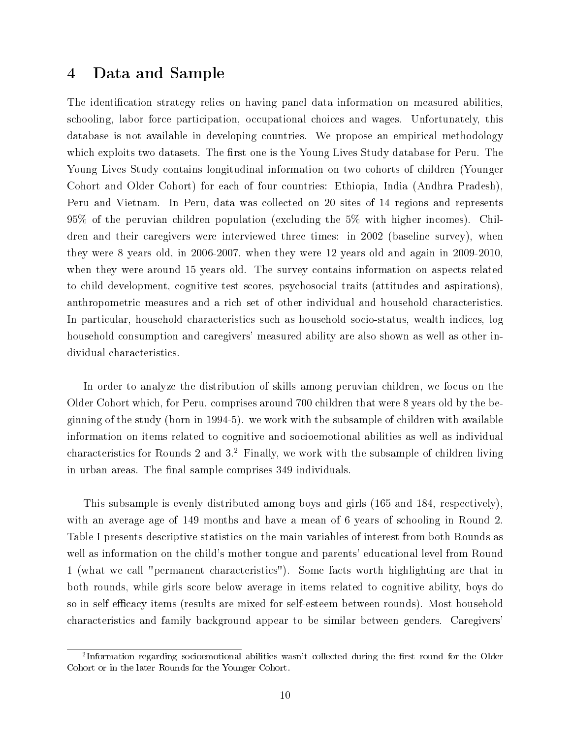# 4 Data and Sample

The identification strategy relies on having panel data information on measured abilities, schooling, labor force participation, occupational choices and wages. Unfortunately, this database is not available in developing countries. We propose an empirical methodology which exploits two datasets. The first one is the Young Lives Study database for Peru. The Young Lives Study contains longitudinal information on two cohorts of children (Younger Cohort and Older Cohort) for each of four countries: Ethiopia, India (Andhra Pradesh), Peru and Vietnam. In Peru, data was collected on 20 sites of 14 regions and represents 95% of the peruvian children population (excluding the 5% with higher incomes). Children and their caregivers were interviewed three times: in 2002 (baseline survey), when they were 8 years old, in 2006-2007, when they were 12 years old and again in 2009-2010, when they were around 15 years old. The survey contains information on aspects related to child development, cognitive test scores, psychosocial traits (attitudes and aspirations), anthropometric measures and a rich set of other individual and household characteristics. In particular, household characteristics such as household socio-status, wealth indices, log household consumption and caregivers' measured ability are also shown as well as other individual characteristics.

In order to analyze the distribution of skills among peruvian children, we focus on the Older Cohort which, for Peru, comprises around 700 children that were 8 years old by the beginning of the study (born in 1994-5). we work with the subsample of children with available information on items related to cognitive and socioemotional abilities as well as individual characteristics for Rounds 2 and 3.<sup>2</sup> Finally, we work with the subsample of children living in urban areas. The final sample comprises 349 individuals.

This subsample is evenly distributed among boys and girls (165 and 184, respectively), with an average age of 149 months and have a mean of 6 years of schooling in Round 2. Table I presents descriptive statistics on the main variables of interest from both Rounds as well as information on the child's mother tongue and parents' educational level from Round 1 (what we call "permanent characteristics"). Some facts worth highlighting are that in both rounds, while girls score below average in items related to cognitive ability, boys do so in self efficacy items (results are mixed for self-esteem between rounds). Most household characteristics and family background appear to be similar between genders. Caregivers'

<sup>&</sup>lt;sup>2</sup>Information regarding socioemotional abilities wasn't collected during the first round for the Older Cohort or in the later Rounds for the Younger Cohort.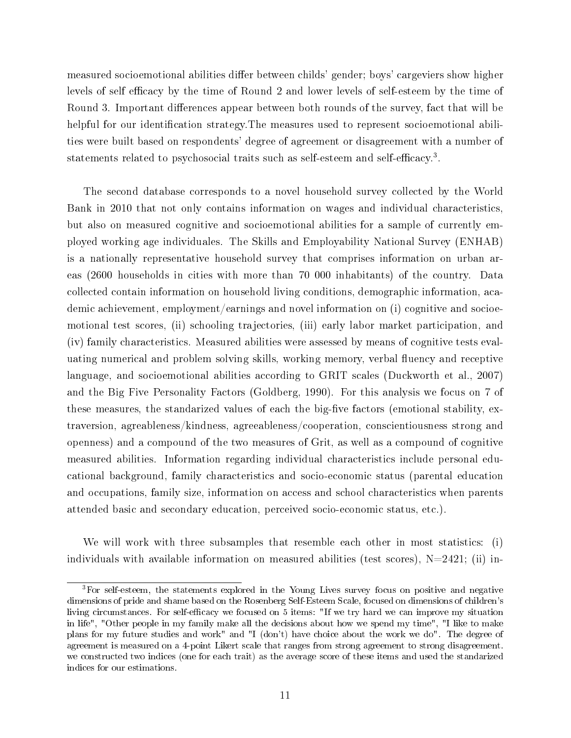measured socioemotional abilities differ between childs' gender; boys' cargeviers show higher levels of self efficacy by the time of Round 2 and lower levels of self-esteem by the time of Round 3. Important differences appear between both rounds of the survey, fact that will be helpful for our identification strategy. The measures used to represent socioemotional abilities were built based on respondents' degree of agreement or disagreement with a number of statements related to psychosocial traits such as self-esteem and self-efficacy.<sup>3</sup>.

The second database corresponds to a novel household survey collected by the World Bank in 2010 that not only contains information on wages and individual characteristics, but also on measured cognitive and socioemotional abilities for a sample of currently employed working age individuales. The Skills and Employability National Survey (ENHAB) is a nationally representative household survey that comprises information on urban areas (2600 households in cities with more than 70 000 inhabitants) of the country. Data collected contain information on household living conditions, demographic information, academic achievement, employment/earnings and novel information on (i) cognitive and socioemotional test scores, (ii) schooling trajectories, (iii) early labor market participation, and (iv) family characteristics. Measured abilities were assessed by means of cognitive tests evaluating numerical and problem solving skills, working memory, verbal fluency and receptive language, and socioemotional abilities according to GRIT scales (Duckworth et al., 2007) and the Big Five Personality Factors (Goldberg, 1990). For this analysis we focus on 7 of these measures, the standarized values of each the big-five factors (emotional stability, extraversion, agreableness/kindness, agreeableness/cooperation, conscientiousness strong and openness) and a compound of the two measures of Grit, as well as a compound of cognitive measured abilities. Information regarding individual characteristics include personal educational background, family characteristics and socio-economic status (parental education and occupations, family size, information on access and school characteristics when parents attended basic and secondary education, perceived socio-economic status, etc.).

We will work with three subsamples that resemble each other in most statistics: (i) individuals with available information on measured abilities (test scores),  $N=2421$ ; (ii) in-

<sup>3</sup>For self-esteem, the statements explored in the Young Lives survey focus on positive and negative dimensions of pride and shame based on the Rosenberg Self-Esteem Scale, focused on dimensions of children's living circumstances. For self-efficacy we focused on 5 items: "If we try hard we can improve my situation in life", "Other people in my family make all the decisions about how we spend my time", "I like to make plans for my future studies and work" and "I (don't) have choice about the work we do". The degree of agreement is measured on a 4-point Likert scale that ranges from strong agreement to strong disagreement. we constructed two indices (one for each trait) as the average score of these items and used the standarized indices for our estimations.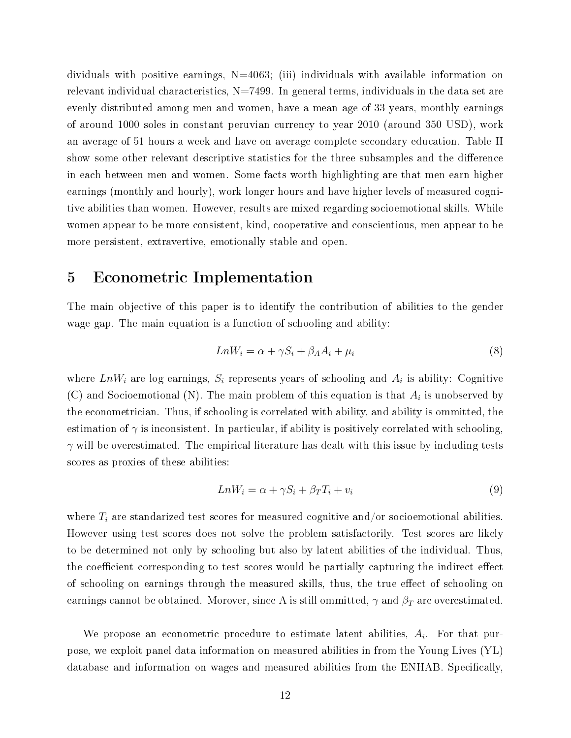dividuals with positive earnings,  $N=4063$ ; (iii) individuals with available information on relevant individual characteristics,  $N=7499$ . In general terms, individuals in the data set are evenly distributed among men and women, have a mean age of 33 years, monthly earnings of around 1000 soles in constant peruvian currency to year 2010 (around 350 USD), work an average of 51 hours a week and have on average complete secondary education. Table II show some other relevant descriptive statistics for the three subsamples and the difference in each between men and women. Some facts worth highlighting are that men earn higher earnings (monthly and hourly), work longer hours and have higher levels of measured cognitive abilities than women. However, results are mixed regarding socioemotional skills. While women appear to be more consistent, kind, cooperative and conscientious, men appear to be more persistent, extravertive, emotionally stable and open.

# 5 Econometric Implementation

The main objective of this paper is to identify the contribution of abilities to the gender wage gap. The main equation is a function of schooling and ability:

$$
LnW_i = \alpha + \gamma S_i + \beta_A A_i + \mu_i \tag{8}
$$

where  $LnW_i$  are log earnings,  $S_i$  represents years of schooling and  $A_i$  is ability: Cognitive (C) and Socioemotional (N). The main problem of this equation is that  $A_i$  is unobserved by the econometrician. Thus, if schooling is correlated with ability, and ability is ommitted, the estimation of  $\gamma$  is inconsistent. In particular, if ability is positively correlated with schooling,  $\gamma$  will be overestimated. The empirical literature has dealt with this issue by including tests scores as proxies of these abilities:

$$
LnW_i = \alpha + \gamma S_i + \beta_T T_i + v_i \tag{9}
$$

where  $T_i$  are standarized test scores for measured cognitive and/or socioemotional abilities. However using test scores does not solve the problem satisfactorily. Test scores are likely to be determined not only by schooling but also by latent abilities of the individual. Thus, the coefficient corresponding to test scores would be partially capturing the indirect effect of schooling on earnings through the measured skills, thus, the true effect of schooling on earnings cannot be obtained. Morover, since A is still ommitted,  $\gamma$  and  $\beta_T$  are overestimated.

We propose an econometric procedure to estimate latent abilities,  $A_i$ . For that purpose, we exploit panel data information on measured abilities in from the Young Lives (YL) database and information on wages and measured abilities from the ENHAB. Specifically,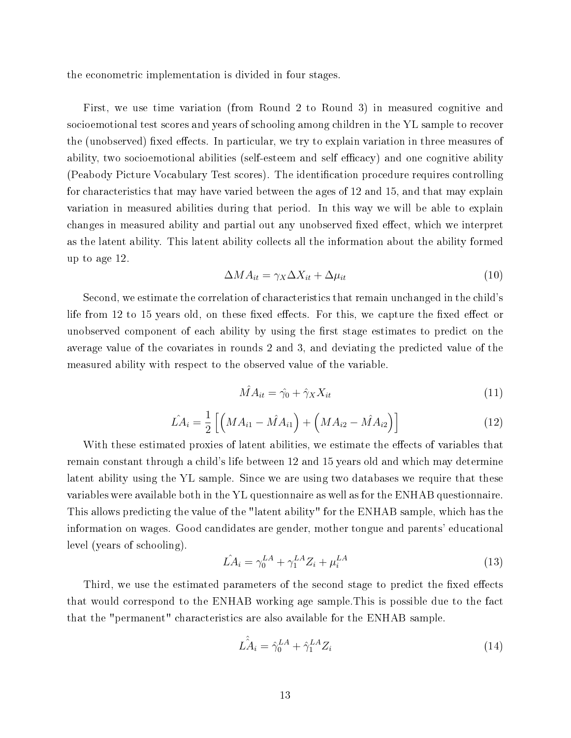the econometric implementation is divided in four stages.

First, we use time variation (from Round 2 to Round 3) in measured cognitive and socioemotional test scores and years of schooling among children in the YL sample to recover the (unobserved) fixed effects. In particular, we try to explain variation in three measures of ability, two socioemotional abilities (self-esteem and self efficacy) and one cognitive ability (Peabody Picture Vocabulary Test scores). The identification procedure requires controlling for characteristics that may have varied between the ages of 12 and 15, and that may explain variation in measured abilities during that period. In this way we will be able to explain changes in measured ability and partial out any unobserved fixed effect, which we interpret as the latent ability. This latent ability collects all the information about the ability formed up to age 12.

$$
\Delta M A_{it} = \gamma_X \Delta X_{it} + \Delta \mu_{it} \tag{10}
$$

Second, we estimate the correlation of characteristics that remain unchanged in the child's life from 12 to 15 years old, on these fixed effects. For this, we capture the fixed effect or unobserved component of each ability by using the first stage estimates to predict on the average value of the covariates in rounds 2 and 3, and deviating the predicted value of the measured ability with respect to the observed value of the variable.

$$
\hat{M}A_{it} = \hat{\gamma}_0 + \hat{\gamma}_X X_{it} \tag{11}
$$

$$
\hat{LA}_i = \frac{1}{2} \left[ \left( MA_{i1} - \hat{MA}_{i1} \right) + \left( MA_{i2} - \hat{MA}_{i2} \right) \right] \tag{12}
$$

With these estimated proxies of latent abilities, we estimate the effects of variables that remain constant through a child's life between 12 and 15 years old and which may determine latent ability using the YL sample. Since we are using two databases we require that these variables were available both in the YL questionnaire as well as for the ENHAB questionnaire. This allows predicting the value of the "latent ability" for the ENHAB sample, which has the information on wages. Good candidates are gender, mother tongue and parents' educational level (years of schooling).

$$
\hat{LA}_i = \gamma_0^{LA} + \gamma_1^{LA} Z_i + \mu_i^{LA} \tag{13}
$$

Third, we use the estimated parameters of the second stage to predict the fixed effects that would correspond to the ENHAB working age sample.This is possible due to the fact that the "permanent" characteristics are also available for the ENHAB sample.

$$
\hat{LA}_i = \hat{\gamma}_0^{LA} + \hat{\gamma}_1^{LA} Z_i \tag{14}
$$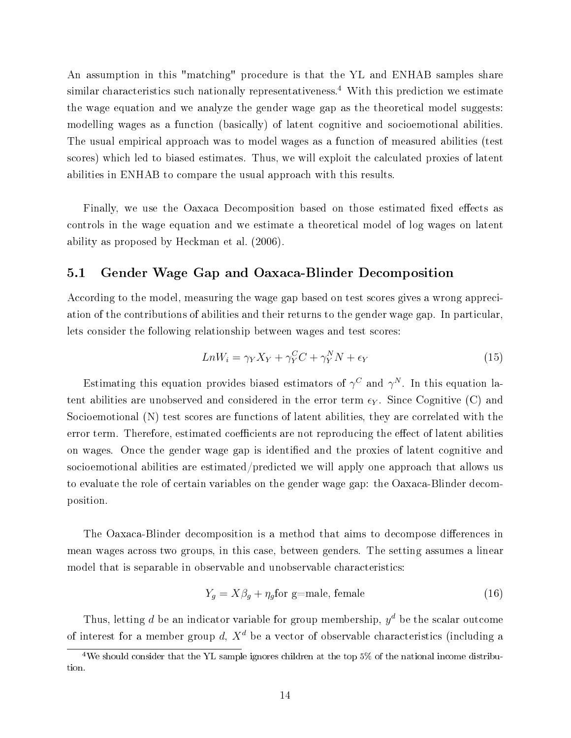An assumption in this "matching" procedure is that the YL and ENHAB samples share similar characteristics such nationally representativeness.<sup>4</sup> With this prediction we estimate the wage equation and we analyze the gender wage gap as the theoretical model suggests: modelling wages as a function (basically) of latent cognitive and socioemotional abilities. The usual empirical approach was to model wages as a function of measured abilities (test scores) which led to biased estimates. Thus, we will exploit the calculated proxies of latent abilities in ENHAB to compare the usual approach with this results.

Finally, we use the Oaxaca Decomposition based on those estimated fixed effects as controls in the wage equation and we estimate a theoretical model of log wages on latent ability as proposed by Heckman et al. (2006).

#### 5.1 Gender Wage Gap and Oaxaca-Blinder Decomposition

According to the model, measuring the wage gap based on test scores gives a wrong appreciation of the contributions of abilities and their returns to the gender wage gap. In particular, lets consider the following relationship between wages and test scores:

$$
LnW_i = \gamma_Y X_Y + \gamma_Y^C C + \gamma_Y^N N + \epsilon_Y \tag{15}
$$

Estimating this equation provides biased estimators of  $\gamma^C$  and  $\gamma^N$ . In this equation latent abilities are unobserved and considered in the error term  $\epsilon_Y$ . Since Cognitive (C) and Socioemotional (N) test scores are functions of latent abilities, they are correlated with the error term. Therefore, estimated coefficients are not reproducing the effect of latent abilities on wages. Once the gender wage gap is identied and the proxies of latent cognitive and socioemotional abilities are estimated/predicted we will apply one approach that allows us to evaluate the role of certain variables on the gender wage gap: the Oaxaca-Blinder decomposition.

The Oaxaca-Blinder decomposition is a method that aims to decompose differences in mean wages across two groups, in this case, between genders. The setting assumes a linear model that is separable in observable and unobservable characteristics:

$$
Y_g = X\beta_g + \eta_g \text{for g=male, female}
$$
\n(16)

Thus, letting d be an indicator variable for group membership,  $y^d$  be the scalar outcome of interest for a member group d,  $X^d$  be a vector of observable characteristics (including a

<sup>4</sup>We should consider that the YL sample ignores children at the top 5% of the national income distribution.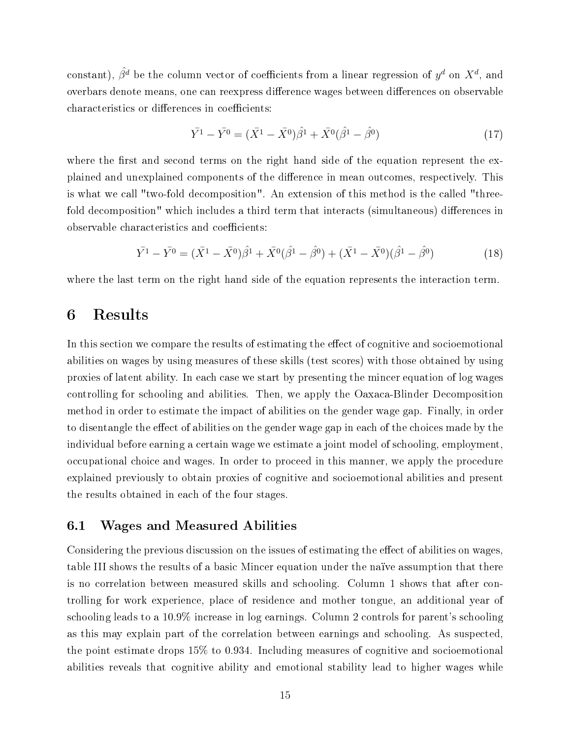constant),  $\hat{\beta^d}$  be the column vector of coefficients from a linear regression of  $y^d$  on  $X^d$ , and overbars denote means, one can reexpress difference wages between differences on observable characteristics or differences in coefficients:

$$
\bar{Y}^1 - \bar{Y}^0 = (\bar{X}^1 - \bar{X}^0)\hat{\beta}^1 + \bar{X}^0(\hat{\beta}^1 - \hat{\beta}^0) \tag{17}
$$

where the first and second terms on the right hand side of the equation represent the explained and unexplained components of the difference in mean outcomes, respectively. This is what we call "two-fold decomposition". An extension of this method is the called "threefold decomposition" which includes a third term that interacts (simultaneous) differences in observable characteristics and coefficients:

$$
\bar{Y}^1 - \bar{Y}^0 = (\bar{X}^1 - \bar{X}^0)\hat{\beta}^1 + \bar{X}^0(\hat{\beta}^1 - \hat{\beta}^0) + (\bar{X}^1 - \bar{X}^0)(\hat{\beta}^1 - \hat{\beta}^0) \tag{18}
$$

where the last term on the right hand side of the equation represents the interaction term.

# 6 Results

In this section we compare the results of estimating the effect of cognitive and socioemotional abilities on wages by using measures of these skills (test scores) with those obtained by using proxies of latent ability. In each case we start by presenting the mincer equation of log wages controlling for schooling and abilities. Then, we apply the Oaxaca-Blinder Decomposition method in order to estimate the impact of abilities on the gender wage gap. Finally, in order to disentangle the effect of abilities on the gender wage gap in each of the choices made by the individual before earning a certain wage we estimate a joint model of schooling, employment, occupational choice and wages. In order to proceed in this manner, we apply the procedure explained previously to obtain proxies of cognitive and socioemotional abilities and present the results obtained in each of the four stages.

#### 6.1 Wages and Measured Abilities

Considering the previous discussion on the issues of estimating the effect of abilities on wages, table III shows the results of a basic Mincer equation under the naïve assumption that there is no correlation between measured skills and schooling. Column 1 shows that after controlling for work experience, place of residence and mother tongue, an additional year of schooling leads to a 10.9% increase in log earnings. Column 2 controls for parent's schooling as this may explain part of the correlation between earnings and schooling. As suspected, the point estimate drops 15% to 0.934. Including measures of cognitive and socioemotional abilities reveals that cognitive ability and emotional stability lead to higher wages while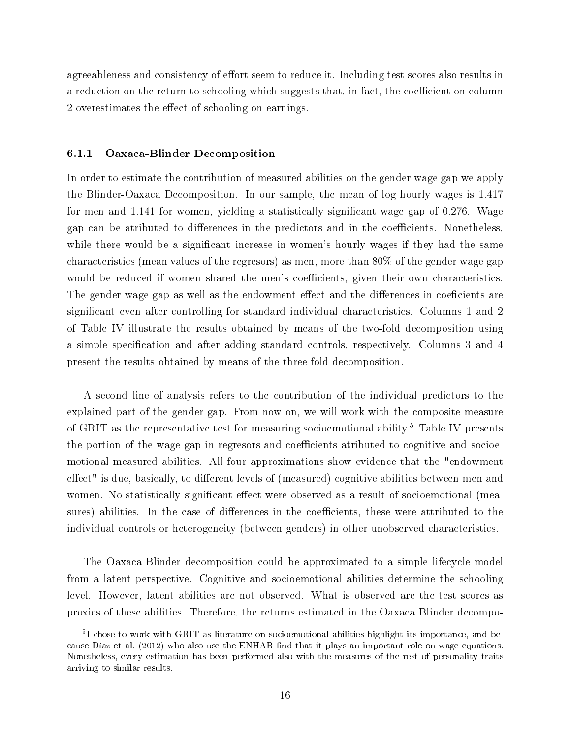agreeableness and consistency of effort seem to reduce it. Including test scores also results in a reduction on the return to schooling which suggests that, in fact, the coefficient on column 2 overestimates the effect of schooling on earnings.

#### 6.1.1 Oaxaca-Blinder Decomposition

In order to estimate the contribution of measured abilities on the gender wage gap we apply the Blinder-Oaxaca Decomposition. In our sample, the mean of log hourly wages is 1.417 for men and  $1.141$  for women, yielding a statistically significant wage gap of 0.276. Wage gap can be atributed to differences in the predictors and in the coefficients. Nonetheless, while there would be a significant increase in women's hourly wages if they had the same characteristics (mean values of the regresors) as men, more than 80% of the gender wage gap would be reduced if women shared the men's coefficients, given their own characteristics. The gender wage gap as well as the endowment effect and the differences in coeficients are significant even after controlling for standard individual characteristics. Columns 1 and 2 of Table IV illustrate the results obtained by means of the two-fold decomposition using a simple specification and after adding standard controls, respectively. Columns 3 and 4 present the results obtained by means of the three-fold decomposition.

A second line of analysis refers to the contribution of the individual predictors to the explained part of the gender gap. From now on, we will work with the composite measure of GRIT as the representative test for measuring socioemotional ability.<sup>5</sup> Table IV presents the portion of the wage gap in regresors and coefficients atributed to cognitive and socioemotional measured abilities. All four approximations show evidence that the "endowment effect" is due, basically, to different levels of (measured) cognitive abilities between men and women. No statistically significant effect were observed as a result of socioemotional (measures) abilities. In the case of differences in the coefficients, these were attributed to the individual controls or heterogeneity (between genders) in other unobserved characteristics.

The Oaxaca-Blinder decomposition could be approximated to a simple lifecycle model from a latent perspective. Cognitive and socioemotional abilities determine the schooling level. However, latent abilities are not observed. What is observed are the test scores as proxies of these abilities. Therefore, the returns estimated in the Oaxaca Blinder decompo-

<sup>5</sup> I chose to work with GRIT as literature on socioemotional abilities highlight its importance, and because Díaz et al. (2012) who also use the ENHAB find that it plays an important role on wage equations. Nonetheless, every estimation has been performed also with the measures of the rest of personality traits arriving to similar results.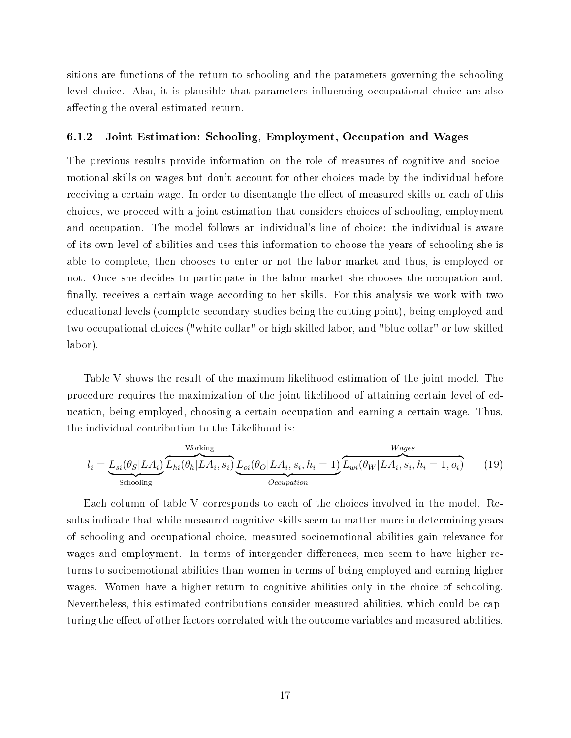sitions are functions of the return to schooling and the parameters governing the schooling level choice. Also, it is plausible that parameters influencing occupational choice are also affecting the overal estimated return.

#### 6.1.2 Joint Estimation: Schooling, Employment, Occupation and Wages

The previous results provide information on the role of measures of cognitive and socioemotional skills on wages but don't account for other choices made by the individual before receiving a certain wage. In order to disentangle the effect of measured skills on each of this choices, we proceed with a joint estimation that considers choices of schooling, employment and occupation. The model follows an individual's line of choice: the individual is aware of its own level of abilities and uses this information to choose the years of schooling she is able to complete, then chooses to enter or not the labor market and thus, is employed or not. Once she decides to participate in the labor market she chooses the occupation and, finally, receives a certain wage according to her skills. For this analysis we work with two educational levels (complete secondary studies being the cutting point), being employed and two occupational choices ("white collar" or high skilled labor, and "blue collar" or low skilled labor).

Table V shows the result of the maximum likelihood estimation of the joint model. The procedure requires the maximization of the joint likelihood of attaining certain level of education, being employed, choosing a certain occupation and earning a certain wage. Thus, the individual contribution to the Likelihood is:

$$
l_i = \underbrace{L_{si}(\theta_S|LA_i)}_{\text{Strooling}} \underbrace{L_{hi}(\theta_h|LA_i, s_i)}_{\text{Orcupation}} \underbrace{L_{oi}(\theta_O|LA_i, s_i, h_i = 1)}_{\text{Occupation}} \underbrace{L_{wi}(\theta_W|LA_i, s_i, h_i = 1, o_i)}_{\text{Orcupation}} \tag{19}
$$

Each column of table V corresponds to each of the choices involved in the model. Results indicate that while measured cognitive skills seem to matter more in determining years of schooling and occupational choice, measured socioemotional abilities gain relevance for wages and employment. In terms of intergender differences, men seem to have higher returns to socioemotional abilities than women in terms of being employed and earning higher wages. Women have a higher return to cognitive abilities only in the choice of schooling. Nevertheless, this estimated contributions consider measured abilities, which could be capturing the effect of other factors correlated with the outcome variables and measured abilities.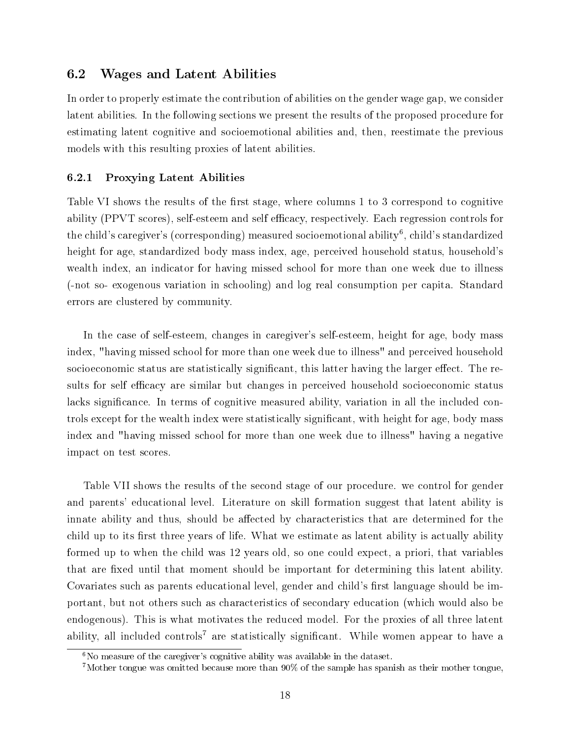#### 6.2 Wages and Latent Abilities

In order to properly estimate the contribution of abilities on the gender wage gap, we consider latent abilities. In the following sections we present the results of the proposed procedure for estimating latent cognitive and socioemotional abilities and, then, reestimate the previous models with this resulting proxies of latent abilities.

#### 6.2.1 Proxying Latent Abilities

Table VI shows the results of the first stage, where columns 1 to 3 correspond to cognitive ability (PPVT scores), self-esteem and self efficacy, respectively. Each regression controls for the child's caregiver's (corresponding) measured socioemotional ability $^6$ , child's standardized height for age, standardized body mass index, age, perceived household status, household's wealth index, an indicator for having missed school for more than one week due to illness (-not so- exogenous variation in schooling) and log real consumption per capita. Standard errors are clustered by community.

In the case of self-esteem, changes in caregiver's self-esteem, height for age, body mass index, "having missed school for more than one week due to illness" and perceived household socioeconomic status are statistically significant, this latter having the larger effect. The results for self efficacy are similar but changes in perceived household socioeconomic status lacks significance. In terms of cognitive measured ability, variation in all the included controls except for the wealth index were statistically significant, with height for age, body mass index and "having missed school for more than one week due to illness" having a negative impact on test scores.

Table VII shows the results of the second stage of our procedure. we control for gender and parents' educational level. Literature on skill formation suggest that latent ability is innate ability and thus, should be affected by characteristics that are determined for the child up to its first three years of life. What we estimate as latent ability is actually ability formed up to when the child was 12 years old, so one could expect, a priori, that variables that are fixed until that moment should be important for determining this latent ability. Covariates such as parents educational level, gender and child's first language should be important, but not others such as characteristics of secondary education (which would also be endogenous). This is what motivates the reduced model. For the proxies of all three latent ability, all included controls<sup>7</sup> are statistically significant. While women appear to have a

 $6N<sub>0</sub>$  measure of the caregiver's cognitive ability was available in the dataset.

<sup>7</sup>Mother tongue was omitted because more than 90% of the sample has spanish as their mother tongue,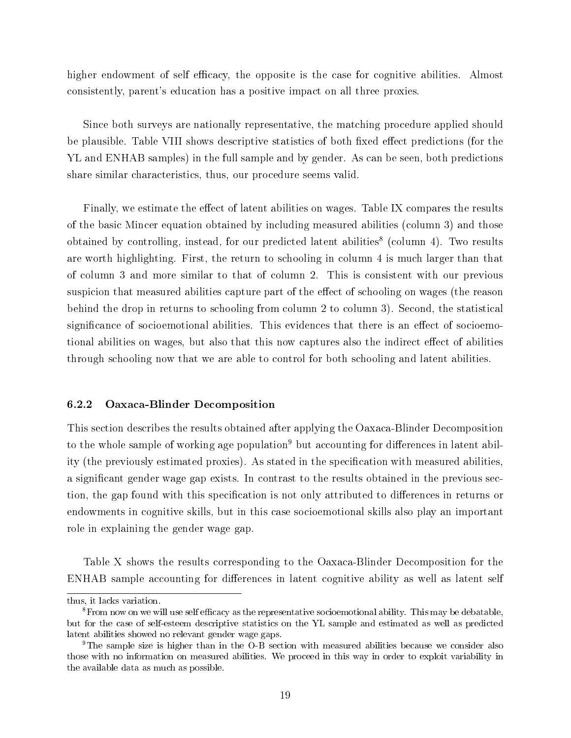higher endowment of self efficacy, the opposite is the case for cognitive abilities. Almost consistently, parent's education has a positive impact on all three proxies.

Since both surveys are nationally representative, the matching procedure applied should be plausible. Table VIII shows descriptive statistics of both fixed effect predictions (for the YL and ENHAB samples) in the full sample and by gender. As can be seen, both predictions share similar characteristics, thus, our procedure seems valid.

Finally, we estimate the effect of latent abilities on wages. Table IX compares the results of the basic Mincer equation obtained by including measured abilities (column 3) and those obtained by controlling, instead, for our predicted latent abilities<sup>8</sup> (column 4). Two results are worth highlighting. First, the return to schooling in column 4 is much larger than that of column 3 and more similar to that of column 2. This is consistent with our previous suspicion that measured abilities capture part of the effect of schooling on wages (the reason behind the drop in returns to schooling from column 2 to column 3). Second, the statistical significance of socioemotional abilities. This evidences that there is an effect of socioemotional abilities on wages, but also that this now captures also the indirect effect of abilities through schooling now that we are able to control for both schooling and latent abilities.

#### 6.2.2 Oaxaca-Blinder Decomposition

This section describes the results obtained after applying the Oaxaca-Blinder Decomposition to the whole sample of working age population<sup>9</sup> but accounting for differences in latent ability (the previously estimated proxies). As stated in the specification with measured abilities, a signicant gender wage gap exists. In contrast to the results obtained in the previous section, the gap found with this specification is not only attributed to differences in returns or endowments in cognitive skills, but in this case socioemotional skills also play an important role in explaining the gender wage gap.

Table X shows the results corresponding to the Oaxaca-Blinder Decomposition for the ENHAB sample accounting for differences in latent cognitive ability as well as latent self

thus, it lacks variation.

 ${}^{8}$ From now on we will use self efficacy as the representative socioemotional ability. This may be debatable, but for the case of self-esteem descriptive statistics on the YL sample and estimated as well as predicted latent abilities showed no relevant gender wage gaps.

<sup>9</sup>The sample size is higher than in the O-B section with measured abilities because we consider also those with no information on measured abilities. We proceed in this way in order to exploit variability in the available data as much as possible.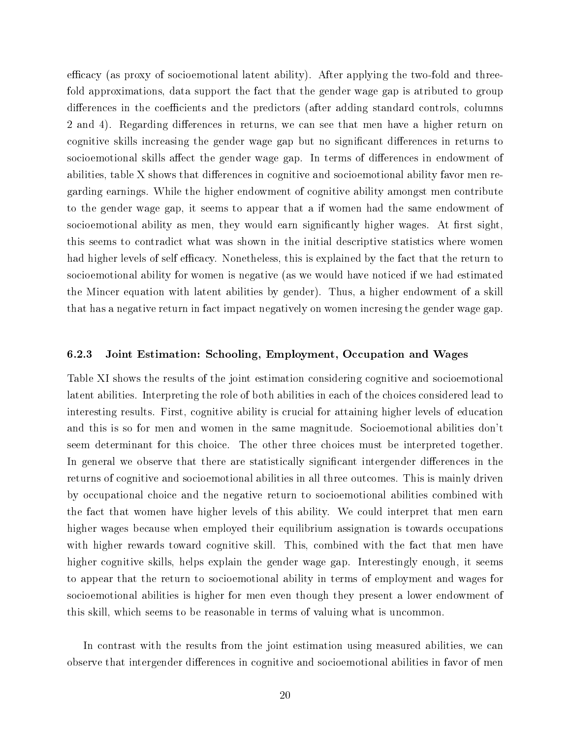efficacy (as proxy of socioemotional latent ability). After applying the two-fold and threefold approximations, data support the fact that the gender wage gap is atributed to group differences in the coefficients and the predictors (after adding standard controls, columns 2 and 4). Regarding differences in returns, we can see that men have a higher return on cognitive skills increasing the gender wage gap but no significant differences in returns to socioemotional skills affect the gender wage gap. In terms of differences in endowment of abilities, table X shows that differences in cognitive and socioemotional ability favor men regarding earnings. While the higher endowment of cognitive ability amongst men contribute to the gender wage gap, it seems to appear that a if women had the same endowment of socioemotional ability as men, they would earn significantly higher wages. At first sight, this seems to contradict what was shown in the initial descriptive statistics where women had higher levels of self efficacy. Nonetheless, this is explained by the fact that the return to socioemotional ability for women is negative (as we would have noticed if we had estimated the Mincer equation with latent abilities by gender). Thus, a higher endowment of a skill that has a negative return in fact impact negatively on women incresing the gender wage gap.

#### 6.2.3 Joint Estimation: Schooling, Employment, Occupation and Wages

Table XI shows the results of the joint estimation considering cognitive and socioemotional latent abilities. Interpreting the role of both abilities in each of the choices considered lead to interesting results. First, cognitive ability is crucial for attaining higher levels of education and this is so for men and women in the same magnitude. Socioemotional abilities don't seem determinant for this choice. The other three choices must be interpreted together. In general we observe that there are statistically significant intergender differences in the returns of cognitive and socioemotional abilities in all three outcomes. This is mainly driven by occupational choice and the negative return to socioemotional abilities combined with the fact that women have higher levels of this ability. We could interpret that men earn higher wages because when employed their equilibrium assignation is towards occupations with higher rewards toward cognitive skill. This, combined with the fact that men have higher cognitive skills, helps explain the gender wage gap. Interestingly enough, it seems to appear that the return to socioemotional ability in terms of employment and wages for socioemotional abilities is higher for men even though they present a lower endowment of this skill, which seems to be reasonable in terms of valuing what is uncommon.

In contrast with the results from the joint estimation using measured abilities, we can observe that intergender differences in cognitive and socioemotional abilities in favor of men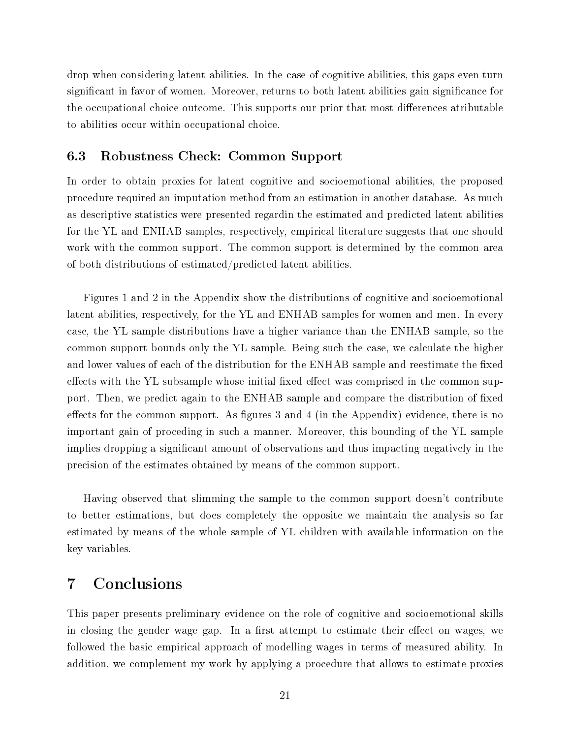drop when considering latent abilities. In the case of cognitive abilities, this gaps even turn significant in favor of women. Moreover, returns to both latent abilities gain significance for the occupational choice outcome. This supports our prior that most differences atributable to abilities occur within occupational choice.

#### 6.3 Robustness Check: Common Support

In order to obtain proxies for latent cognitive and socioemotional abilities, the proposed procedure required an imputation method from an estimation in another database. As much as descriptive statistics were presented regardin the estimated and predicted latent abilities for the YL and ENHAB samples, respectively, empirical literature suggests that one should work with the common support. The common support is determined by the common area of both distributions of estimated/predicted latent abilities.

Figures 1 and 2 in the Appendix show the distributions of cognitive and socioemotional latent abilities, respectively, for the YL and ENHAB samples for women and men. In every case, the YL sample distributions have a higher variance than the ENHAB sample, so the common support bounds only the YL sample. Being such the case, we calculate the higher and lower values of each of the distribution for the ENHAB sample and reestimate the fixed effects with the YL subsample whose initial fixed effect was comprised in the common support. Then, we predict again to the ENHAB sample and compare the distribution of fixed effects for the common support. As figures 3 and 4 (in the Appendix) evidence, there is no important gain of proceding in such a manner. Moreover, this bounding of the YL sample implies dropping a significant amount of observations and thus impacting negatively in the precision of the estimates obtained by means of the common support.

Having observed that slimming the sample to the common support doesn't contribute to better estimations, but does completely the opposite we maintain the analysis so far estimated by means of the whole sample of YL children with available information on the key variables.

# 7 Conclusions

This paper presents preliminary evidence on the role of cognitive and socioemotional skills in closing the gender wage gap. In a first attempt to estimate their effect on wages, we followed the basic empirical approach of modelling wages in terms of measured ability. In addition, we complement my work by applying a procedure that allows to estimate proxies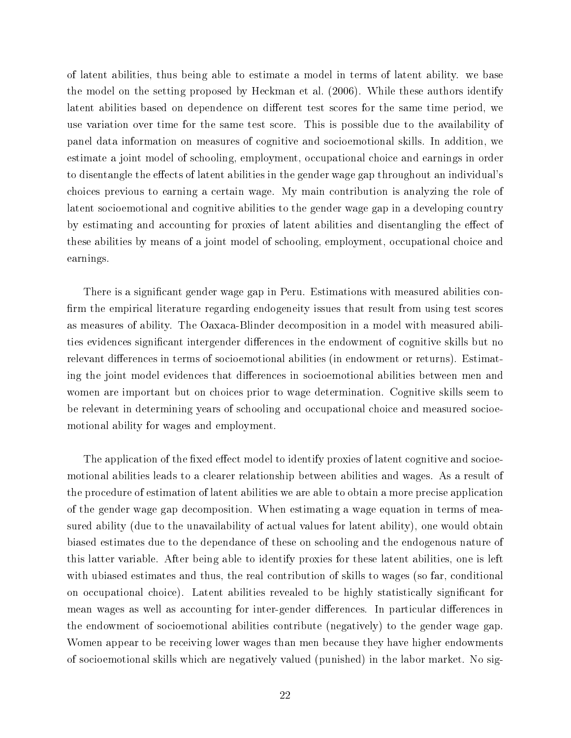of latent abilities, thus being able to estimate a model in terms of latent ability. we base the model on the setting proposed by Heckman et al. (2006). While these authors identify latent abilities based on dependence on different test scores for the same time period, we use variation over time for the same test score. This is possible due to the availability of panel data information on measures of cognitive and socioemotional skills. In addition, we estimate a joint model of schooling, employment, occupational choice and earnings in order to disentangle the effects of latent abilities in the gender wage gap throughout an individual's choices previous to earning a certain wage. My main contribution is analyzing the role of latent socioemotional and cognitive abilities to the gender wage gap in a developing country by estimating and accounting for proxies of latent abilities and disentangling the effect of these abilities by means of a joint model of schooling, employment, occupational choice and earnings.

There is a significant gender wage gap in Peru. Estimations with measured abilities confirm the empirical literature regarding endogeneity issues that result from using test scores as measures of ability. The Oaxaca-Blinder decomposition in a model with measured abilities evidences significant intergender differences in the endowment of cognitive skills but no relevant differences in terms of socioemotional abilities (in endowment or returns). Estimating the joint model evidences that differences in socioemotional abilities between men and women are important but on choices prior to wage determination. Cognitive skills seem to be relevant in determining years of schooling and occupational choice and measured socioemotional ability for wages and employment.

The application of the fixed effect model to identify proxies of latent cognitive and socioemotional abilities leads to a clearer relationship between abilities and wages. As a result of the procedure of estimation of latent abilities we are able to obtain a more precise application of the gender wage gap decomposition. When estimating a wage equation in terms of measured ability (due to the unavailability of actual values for latent ability), one would obtain biased estimates due to the dependance of these on schooling and the endogenous nature of this latter variable. After being able to identify proxies for these latent abilities, one is left with ubiased estimates and thus, the real contribution of skills to wages (so far, conditional on occupational choice). Latent abilities revealed to be highly statistically signicant for mean wages as well as accounting for inter-gender differences. In particular differences in the endowment of socioemotional abilities contribute (negatively) to the gender wage gap. Women appear to be receiving lower wages than men because they have higher endowments of socioemotional skills which are negatively valued (punished) in the labor market. No sig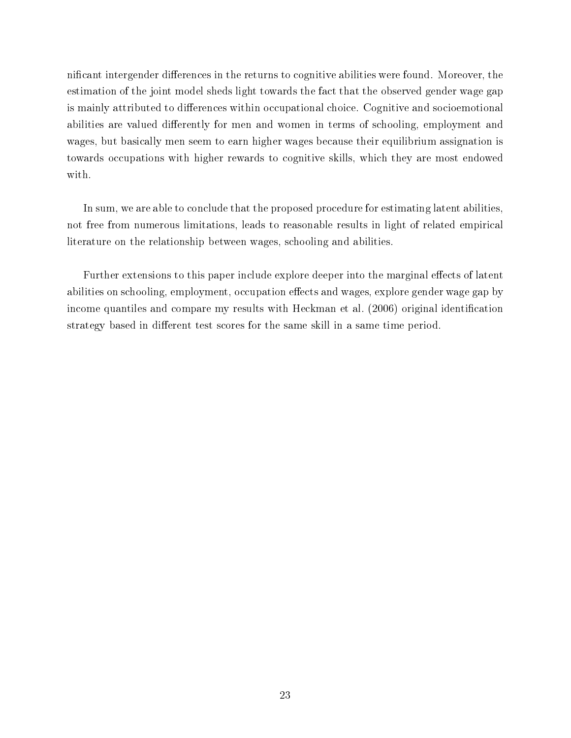nificant intergender differences in the returns to cognitive abilities were found. Moreover, the estimation of the joint model sheds light towards the fact that the observed gender wage gap is mainly attributed to differences within occupational choice. Cognitive and socioemotional abilities are valued differently for men and women in terms of schooling, employment and wages, but basically men seem to earn higher wages because their equilibrium assignation is towards occupations with higher rewards to cognitive skills, which they are most endowed with.

In sum, we are able to conclude that the proposed procedure for estimating latent abilities, not free from numerous limitations, leads to reasonable results in light of related empirical literature on the relationship between wages, schooling and abilities.

Further extensions to this paper include explore deeper into the marginal effects of latent abilities on schooling, employment, occupation effects and wages, explore gender wage gap by income quantiles and compare my results with Heckman et al. (2006) original identification strategy based in different test scores for the same skill in a same time period.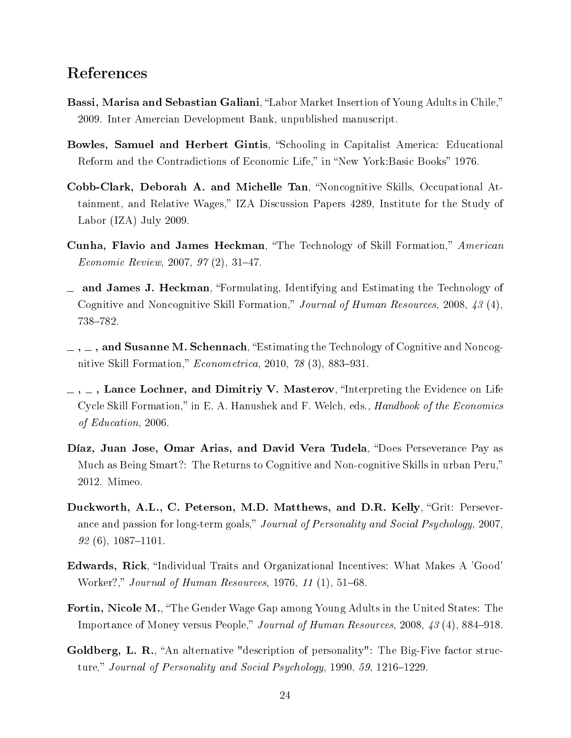# References

- **Bassi, Marisa and Sebastian Galiani**, "Labor Market Insertion of Young Adults in Chile," 2009. Inter Amercian Development Bank, unpublished manuscript.
- Bowles, Samuel and Herbert Gintis, "Schooling in Capitalist America: Educational Reform and the Contradictions of Economic Life," in "New York:Basic Books" 1976.
- Cobb-Clark, Deborah A. and Michelle Tan, "Noncognitive Skills, Occupational Attainment, and Relative Wages," IZA Discussion Papers 4289, Institute for the Study of Labor (IZA) July 2009.
- Cunha, Flavio and James Heckman, "The Technology of Skill Formation," American  $E_{conomic\; Review, 2007, 97 (2), 31-47.$
- $\equiv$  and James J. Heckman, "Formulating, Identifying and Estimating the Technology of Cognitive and Noncognitive Skill Formation," Journal of Human Resources, 2008, 43 (4), 738-782.
- $\sim$ ,  $\sim$ , and Susanne M. Schennach, "Estimating the Technology of Cognitive and Noncognitive Skill Formation,"  $Econometrica$ , 2010, 78 (3), 883-931.
- $, \ldots$ , Lance Lochner, and Dimitriy V. Masterov, "Interpreting the Evidence on Life Cycle Skill Formation," in E. A. Hanushek and F. Welch, eds., *Handbook of the Economics* of Education, 2006.
- Díaz, Juan Jose, Omar Arias, and David Vera Tudela, "Does Perseverance Pay as Much as Being Smart?: The Returns to Cognitive and Non-cognitive Skills in urban Peru, 2012. Mimeo.
- Duckworth, A.L., C. Peterson, M.D. Matthews, and D.R. Kelly, "Grit: Perseverance and passion for long-term goals," Journal of Personality and Social Psychology, 2007,  $92(6), 1087–1101.$
- Edwards, Rick, "Individual Traits and Organizational Incentives: What Makes A 'Good' Worker?," Journal of Human Resources,  $1976, 11(1), 51-68$ .
- Fortin, Nicole M., "The Gender Wage Gap among Young Adults in the United States: The Importance of Money versus People," Journal of Human Resources, 2008,  $43(4)$ , 884–918.
- Goldberg, L. R., "An alternative "description of personality": The Big-Five factor structure," Journal of Personality and Social Psychology, 1990, 59, 1216–1229.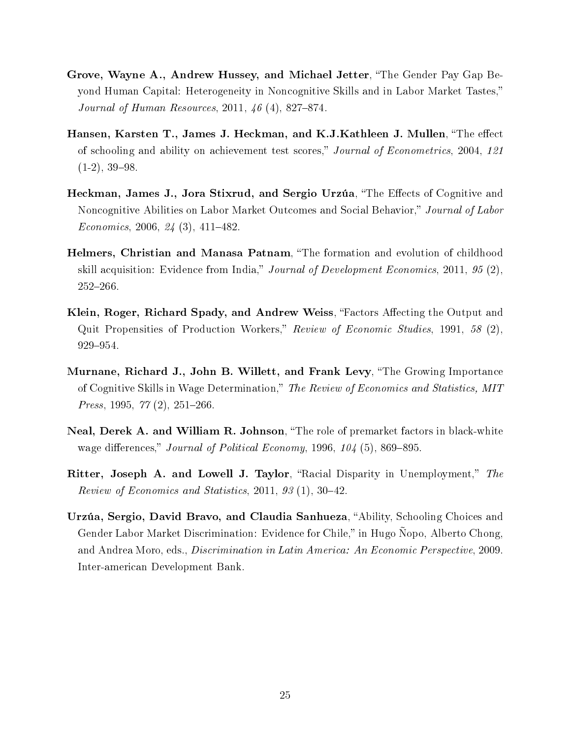- Grove, Wayne A., Andrew Hussey, and Michael Jetter, "The Gender Pay Gap Beyond Human Capital: Heterogeneity in Noncognitive Skills and in Labor Market Tastes, *Journal of Human Resources,* 2011,  $46(4)$ , 827–874.
- Hansen, Karsten T., James J. Heckman, and K.J.Kathleen J. Mullen, "The effect of schooling and ability on achievement test scores," Journal of Econometrics, 2004, 121  $(1-2), 39-98.$
- Heckman, James J., Jora Stixrud, and Sergio Urzúa, "The Effects of Cognitive and Noncognitive Abilities on Labor Market Outcomes and Social Behavior," Journal of Labor Economics, 2006,  $24(3)$ , 411-482.
- Helmers, Christian and Manasa Patnam, "The formation and evolution of childhood skill acquisition: Evidence from India," Journal of Development Economics, 2011, 95  $(2)$ ,  $252 - 266$ .
- Klein, Roger, Richard Spady, and Andrew Weiss, "Factors Affecting the Output and Quit Propensities of Production Workers," Review of Economic Studies, 1991, 58  $(2)$ , 929-954.
- Murnane, Richard J., John B. Willett, and Frank Levy, The Growing Importance of Cognitive Skills in Wage Determination," The Review of Economics and Statistics, MIT *Press*, 1995,  $77(2)$ , 251–266.
- Neal, Derek A. and William R. Johnson, "The role of premarket factors in black-white wage differences," Journal of Political Economy, 1996,  $104$  (5), 869–895.
- Ritter, Joseph A. and Lowell J. Taylor, "Racial Disparity in Unemployment," The Review of Economics and Statistics, 2011, 93  $(1)$ , 30-42.
- Urzúa, Sergio, David Bravo, and Claudia Sanhueza, "Ability, Schooling Choices and Gender Labor Market Discrimination: Evidence for Chile," in Hugo Nopo, Alberto Chong, and Andrea Moro, eds., Discrimination in Latin America: An Economic Perspective, 2009. Inter-american Development Bank.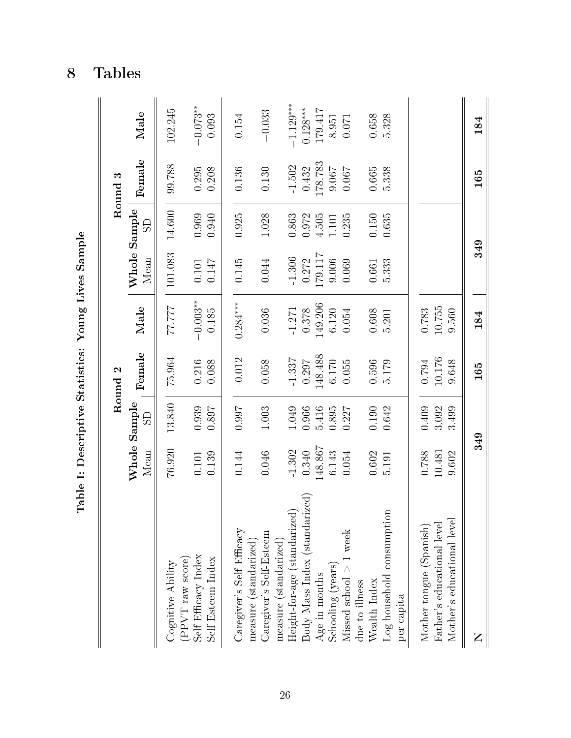|                                                                                         | Table I: Descriptive Statistics: Young Lives Sample |                |                    |                     |                      |                |                    |                     |
|-----------------------------------------------------------------------------------------|-----------------------------------------------------|----------------|--------------------|---------------------|----------------------|----------------|--------------------|---------------------|
|                                                                                         |                                                     |                | Round <sub>2</sub> |                     |                      |                | Round <sub>3</sub> |                     |
|                                                                                         | Whole Sample<br>Mean                                | $\overline{S}$ | Female             | Male                | Whole Sample<br>Mean | $\overline{S}$ | Female             | Male                |
| (PPVT raw score)<br>Cognitive Ability                                                   | 76.920                                              | 13.840         | 75.964             | 77777               | 101.083              | 14.600         | 99.788             | 102.245             |
| Self Efficacy Index<br>Self Esteem Index                                                | 0.139<br>0.101                                      | 0.939<br>0.897 | 0.216<br>0.088     | $-0.003**$<br>0.185 | 0.147<br>$0.101\,$   | 0.969<br>0.940 | $0.295\,$<br>0.208 | $-0.073**$<br>0.093 |
| Caregiver's Self Efficacy                                                               | 0.144                                               | 0.997          | $-0.012$           | $0.284***$          | 0.145                | 0.925          | 0.136              | 0.154               |
| Caregiver's Self-Esteem<br>measure (standarized)                                        | 0.046                                               | $1.003\,$      | 0.058              | 0.036               | 0.044                | 1.028          | 0.130              | $-0.033$            |
| Height-for-age (standarized<br>measure (standarized)                                    | $-1.302$                                            | 1.049          | $-1.337$           | $-1.271$            | $-1.306$             | 0.863          | $-1.502$           | $-1.129***$         |
| $\begin{array}{l} \text{Body Mass Index (standard)}\\ \text{Age in months} \end{array}$ | 0.340                                               | 0.966          | 0.297              | 0.378               | 0.272                | 0.972          | 0.432              | $0.128***$          |
|                                                                                         | 148.867                                             | 5.416          | 148.488            | 149.206             | 179.117              | 4.505          | 178.783            | 179.417             |
| Schooling (years)                                                                       | 6.143                                               | 0.895          | 6.170              | 6.120               | 9.006                | 1.101          | 9.067              | 8.951               |
| Missed school $>1$ week                                                                 | 0.054                                               | $0.227$        | 0.055              | 0.054               | 0.069                | 0.235          | $0.067\,$          | 0.071               |
| due to illness<br>Wealth Index                                                          | 0.602                                               | 0.190          | 0.596              | 0.608               | 0.661                | $0.150\,$      | 0.665              | 0.658               |
| Log household consumption<br>per capita                                                 | 5.191                                               | 0.642          | 5.179              | 5.201               | 5.333                | 0.635          | 5.338              | 5.328               |
|                                                                                         |                                                     |                |                    |                     |                      |                |                    |                     |
| Mother tongue (Spanish)                                                                 | 0.788                                               | 0.409          | 0.794              | 0.783               |                      |                |                    |                     |
| Father's educational level                                                              | 10.481                                              | 3.092          | 10.176             | 10.755              |                      |                |                    |                     |
| Mother's educational level                                                              | 9.602                                               | 3.499          | 9.648              | 9.560               |                      |                |                    |                     |
| Z                                                                                       | 349                                                 |                | 165                | 184                 | 349                  |                | 165                | 184                 |

8 Tables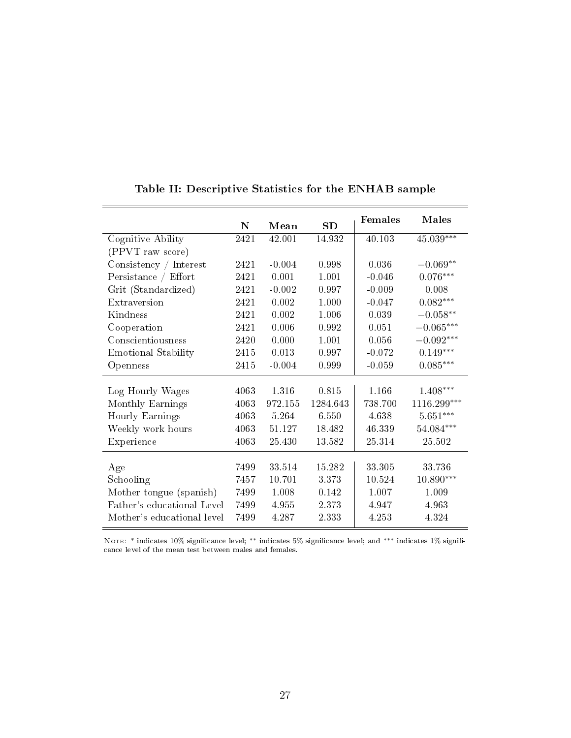|                            |      |           |          | Females  | <b>Males</b>           |
|----------------------------|------|-----------|----------|----------|------------------------|
|                            | N    | Mean      | SD       |          |                        |
| Cognitive Ability          | 2421 | 42.001    | 14.932   | 40.103   | $45.039***$            |
| (PPVT raw score)           |      |           |          |          |                        |
| Consistency / Interest     | 2421 | $-0.004$  | 0.998    | 0.036    | $-0.069**$             |
| Persistance / Effort       | 2421 | 0.001     | 1.001    | $-0.046$ | $0.076***$             |
| Grit (Standardized)        | 2421 | $-0.002$  | 0.997    | $-0.009$ | 0.008                  |
| Extraversion               | 2421 | 0.002     | 1.000    | $-0.047$ | $0.082***$             |
| Kindness                   | 2421 | 0.002     | 1.006    | 0.039    | $-0.058**$             |
| Cooperation                | 2421 | 0.006     | 0.992    | 0.051    | $-0.065***$            |
| Conscientiousness          | 2420 | 0.000     | 1.001    | 0.056    | $-0.092***$            |
| Emotional Stability        | 2415 | $0.013\,$ | 0.997    | $-0.072$ | $0.149***$             |
| Openness                   | 2415 | $-0.004$  | 0.999    | $-0.059$ | $0.085^{***}\,$        |
|                            |      |           |          |          |                        |
| Log Hourly Wages           | 4063 | 1.316     | 0.815    | 1.166    | $1.408***$             |
| Monthly Earnings           | 4063 | 972.155   | 1284.643 | 738.700  | $1116.299***$          |
| Hourly Earnings            | 4063 | 5.264     | 6.550    | 4.638    | $5.651^{\ast\ast\ast}$ |
| Weekly work hours          | 4063 | 51.127    | 18.482   | 46.339   | $54.084***$            |
| Experience                 | 4063 | 25.430    | 13.582   | 25.314   | 25.502                 |
| Age                        | 7499 | 33.514    | 15.282   | 33.305   | 33.736                 |
| Schooling                  | 7457 | 10.701    | 3 3 7 3  | 10.524   | $10.890***$            |
|                            |      |           |          |          |                        |
| Mother tongue (spanish)    | 7499 | 1.008     | 0.142    | 1.007    | 1.009                  |
| Father's educational Level | 7499 | 4.955     | 2.373    | 4.947    | 4.963                  |
| Mother's educational level | 7499 | 4.287     | 2.333    | 4.253    | 4.324                  |

### Table II: Descriptive Statistics for the ENHAB sample

Nоте: \* indicates 10% significance level; \*\* indicates 5% significance level; and \*\*\* indicates 1% significance level of the mean test between males and females.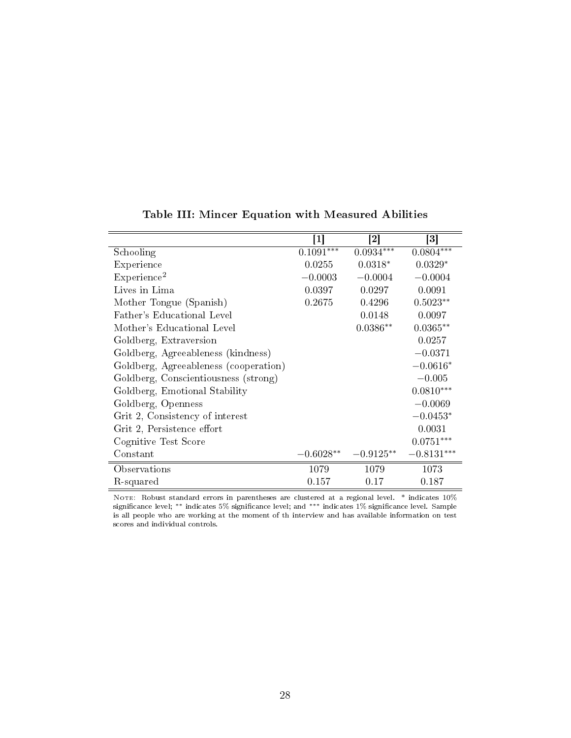|                                       | $\mathbf{1}$ | 2           | $\left\lceil 3 \right\rceil$ |
|---------------------------------------|--------------|-------------|------------------------------|
| Schooling                             | $0.1091***$  | $0.0934***$ | $0.0804***$                  |
| Experience                            | 0.0255       | $0.0318*$   | $0.0329*$                    |
| Experience <sup>2</sup>               | $-0.0003$    | $-0.0004$   | $-0.0004$                    |
| Lives in Lima                         | 0.0397       | 0.0297      | 0.0091                       |
| Mother Tongue (Spanish)               | 0.2675       | 0.4296      | $0.5023**$                   |
| Father's Educational Level            |              | 0.0148      | 0.0097                       |
| Mother's Educational Level            |              | $0.0386**$  | $0.0365**$                   |
| Goldberg, Extraversion                |              |             | 0.0257                       |
| Goldberg, Agreeableness (kindness)    |              |             | $-0.0371$                    |
| Goldberg, Agreeableness (cooperation) |              |             | $-0.0616*$                   |
| Goldberg, Conscientiousness (strong)  |              |             | $-0.005$                     |
| Goldberg, Emotional Stability         |              |             | $0.0810***$                  |
| Goldberg, Openness                    |              |             | $-0.0069$                    |
| Grit 2, Consistency of interest       |              |             | $-0.0453*$                   |
| Grit 2, Persistence effort            |              |             | 0.0031                       |
| Cognitive Test Score                  |              |             | $0.0751***$                  |
| Constant                              | $-0.6028**$  | $-0.9125**$ | $-0.8131***$                 |
| Observations                          | 1079         | 1079        | 1073                         |
| R-squared                             | 0.157        | 0.17        | 0.187                        |

### Table III: Mincer Equation with Measured Abilities

Note: Robust standard errors in parentheses are clustered at a regional level. \* indicates 10% significance level; \*\* indicates 5% significance level; and \*\*\* indicates 1% significance level. Sample is all people who are working at the moment of th interview and has available information on test scores and individual controls.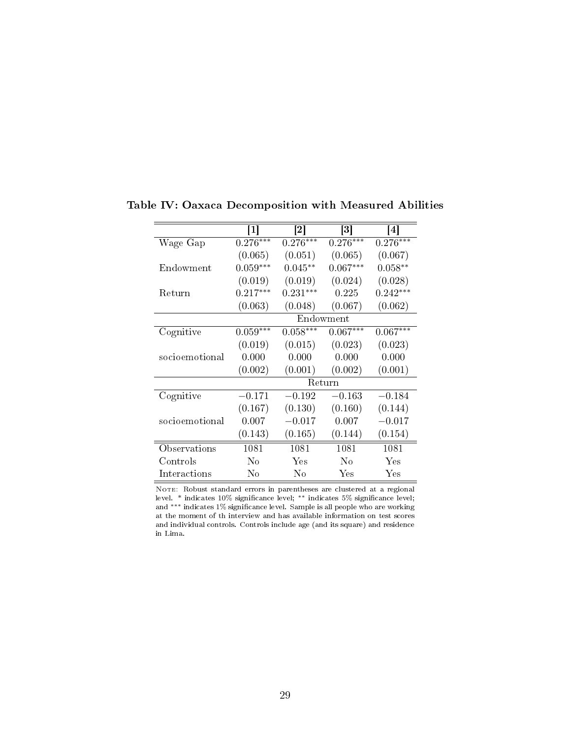|                | $\lceil 1 \rceil$ | $\vert 2 \vert$ | $\lceil 3 \rceil$ | $\left[ 4 \right]$ |
|----------------|-------------------|-----------------|-------------------|--------------------|
| Wage Gap       | $0.276***$        | $0.276***$      | $0.276***$        | $0.276***$         |
|                | (0.065)           | (0.051)         | (0.065)           | (0.067)            |
| Endowment      | $0.059***$        | $0.045***$      | $0.067***$        | $0.058**$          |
|                | (0.019)           | (0.019)         | (0.024)           | (0.028)            |
| Return         | $0.217***$        | $0.231***$      | 0.225             | $0.242***$         |
|                | (0.063)           | (0.048)         | (0.067)           | (0.062)            |
|                |                   |                 | Endowment         |                    |
| Cognitive      | $0.059***$        | $0.058***$      | $0.067***$        | $0.067***$         |
|                | (0.019)           | (0.015)         | (0.023)           | (0.023)            |
| socioemotional | 0.000             | 0.000           | 0.000             | 0.000              |
|                | (0.002)           | (0.001)         | (0.002)           | (0.001)            |
|                |                   |                 | Return            |                    |
| Cognitive      | $-0.171$          | $-0.192$        | $-0.163$          | $-0.184$           |
|                | (0.167)           | (0.130)         | (0.160)           | (0.144)            |
| socioemotional | 0.007             | $-0.017$        | 0.007             | $-0.017$           |
|                | (0.143)           | (0.165)         | (0.144)           | (0.154)            |
| Observations   | 1081              | 1081            | 1081              | 1081               |
| Controls       | No                | Yes             | $\rm No$          | Yes                |
| Interactions   | No                | Nο              | Yes               | Yes                |

Table IV: Oaxaca Decomposition with Measured Abilities

NOTE: Robust standard errors in parentheses are clustered at a regional level. \* indicates 10% signicance level; ∗∗ indicates 5% signicance level; and ∗∗∗ indicates 1% signicance level. Sample is all people who are working at the moment of th interview and has available information on test scores and individual controls. Controls include age (and its square) and residence in Lima.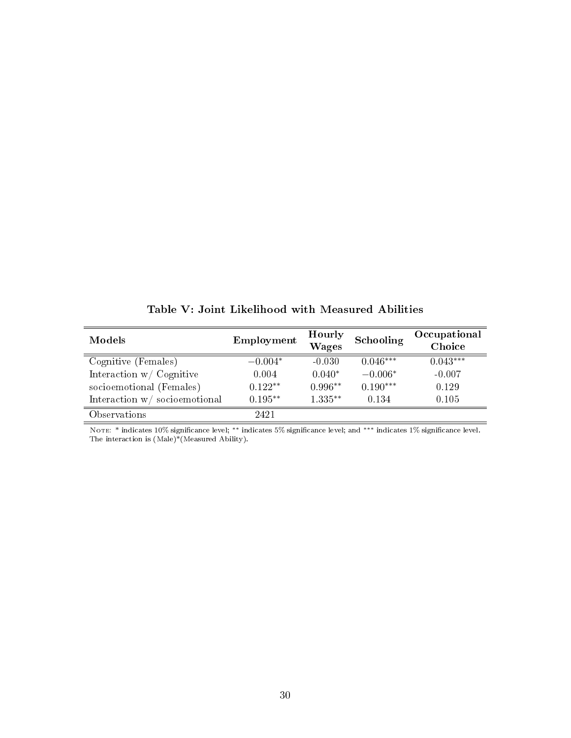| Models                       | Employment | Hourly<br><b>Wages</b> | Schooling  | Occupational<br>Choice |
|------------------------------|------------|------------------------|------------|------------------------|
| Cognitive (Females)          | $-0.004*$  | $-0.030$               | $0.046***$ | $0.043***$             |
| Interaction $w /$ Cognitive  | 0.004      | $0.040*$               | $-0.006*$  | $-0.007$               |
| socioemotional (Females)     | $0.122**$  | $0.996**$              | $0.190***$ | 0.129                  |
| Interaction w/socioemotional | $0.195***$ | $1.335***$             | 0.134      | 0.105                  |
| Observations                 | 2421       |                        |            |                        |

Table V: Joint Likelihood with Measured Abilities

Note: \* indicates 10% signicance level; ∗∗ indicates 5% signicance level; and ∗∗∗ indicates 1% signicance level. The interaction is (Male)\*(Measured Ability).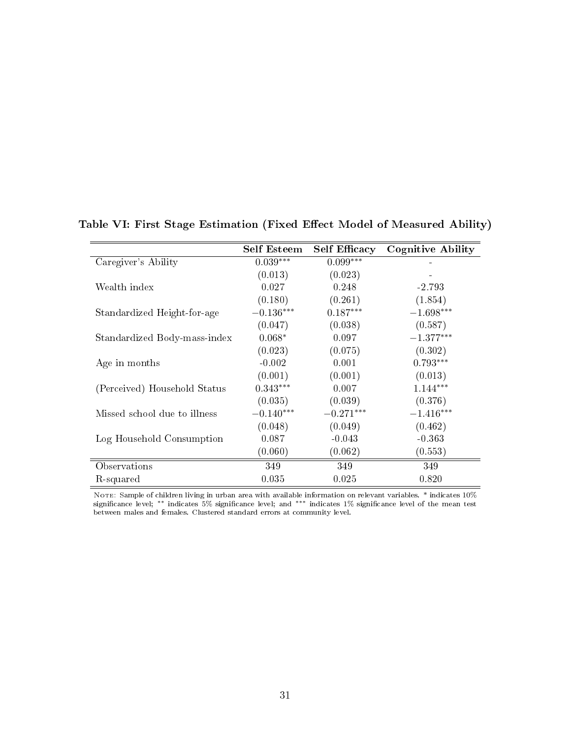|                              | <b>Self Esteem</b> | <b>Self Efficacy</b> | Cognitive Ability |
|------------------------------|--------------------|----------------------|-------------------|
| Caregiver's Ability          | $0.039***$         | $0.099***$           |                   |
|                              | (0.013)            | (0.023)              |                   |
| Wealth index                 | 0.027              | 0.248                | $-2.793$          |
|                              | (0.180)            | (0.261)              | (1.854)           |
| Standardized Height-for-age  | $-0.136***$        | $0.187***$           | $-1.698***$       |
|                              | (0.047)            | (0.038)              | (0.587)           |
| Standardized Body-mass-index | $0.068*$           | 0.097                | $-1.377***$       |
|                              | (0.023)            | (0.075)              | (0.302)           |
| Age in months                | $-0.002$           | 0.001                | $0.793***$        |
|                              | (0.001)            | (0.001)              | (0.013)           |
| (Perceived) Household Status | $0.343***$         | 0.007                | $1.144***$        |
|                              | (0.035)            | (0.039)              | (0.376)           |
| Missed school due to illness | $-0.140***$        | $-0.271***$          | $-1.416***$       |
|                              | (0.048)            | (0.049)              | (0.462)           |
| Log Household Consumption    | 0.087              | $-0.043$             | $-0.363$          |
|                              | (0.060)            | (0.062)              | (0.553)           |
| Observations                 | 349                | 349                  | 349               |
| R-squared                    | 0.035              | 0.025                | 0.820             |

Table VI: First Stage Estimation (Fixed Effect Model of Measured Ability)

Note: Sample of children living in urban area with available information on relevant variables. \* indicates 10% significance level; \*\* indicates 5% significance level; and \*\*\* indicates 1% significance level of the mean test between males and females. Clustered standard errors at community level.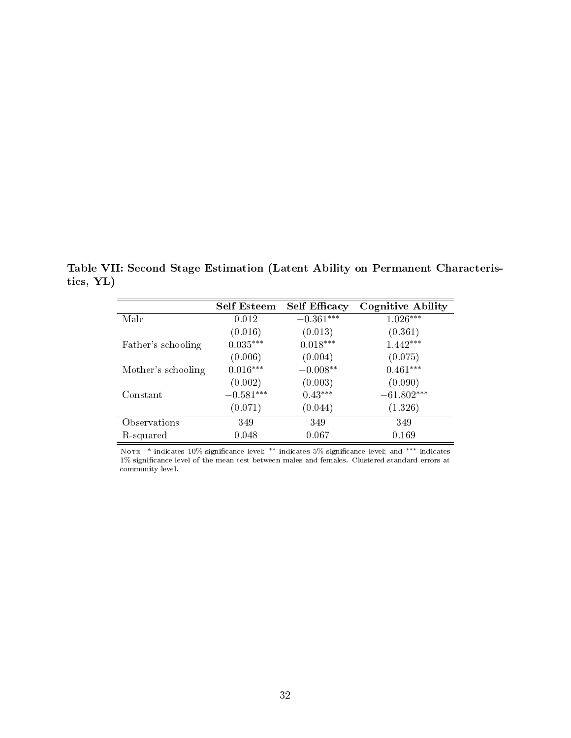Table VII: Second Stage Estimation (Latent Ability on Permanent Characteristics, YL)

|                    | <b>Self Esteem</b> | <b>Self Efficacy</b> | <b>Cognitive Ability</b> |
|--------------------|--------------------|----------------------|--------------------------|
| Male               | 0.012              | $-0.361***$          | $1.026***$               |
|                    | (0.016)            | (0.013)              | (0.361)                  |
| Father's schooling | $0.035***$         | $0.018***$           | $1.442***$               |
|                    | (0.006)            | (0.004)              | (0.075)                  |
| Mother's schooling | $0.016***$         | $-0.008**$           | $0.461***$               |
|                    | (0.002)            | (0.003)              | (0.090)                  |
| Constant           | $-0.581***$        | $0.43***$            | $-61.802***$             |
|                    | (0.071)            | (0.044)              | (1.326)                  |
| Observations       | 349                | 349                  | 349                      |
| R-squared          | 0.048              | 0.067                | 0.169                    |

Note: \* indicates 10% signicance level; ∗∗ indicates 5% signicance level; and ∗∗∗ indicates 1% signicance level of the mean test between males and females. Clustered standard errors at community level.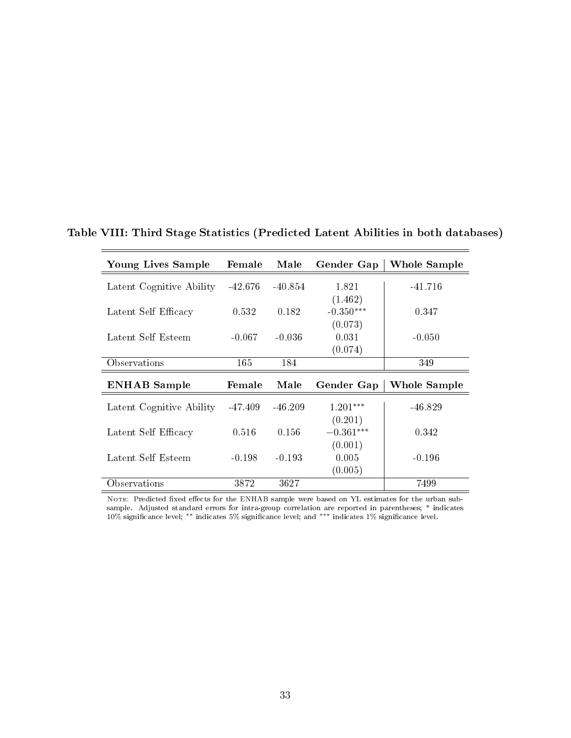| Young Lives Sample       | Female    | Male      | Gender Gap       | Whole Sample |
|--------------------------|-----------|-----------|------------------|--------------|
| Latent Cognitive Ability | $-42.676$ | $-40.854$ | 1.821            | $-41.716$    |
|                          |           |           | (1.462)          |              |
| Latent Self Efficacy     | 0.532     | 0.182     | $-0.350***$      | 0.347        |
| Latent Self Esteem       | $-0.067$  | $-0.036$  | (0.073)<br>0.031 | $-0.050$     |
|                          |           |           | (0.074)          |              |
| Observations             | 165       | 184       |                  | 349          |
|                          |           |           |                  |              |
| <b>ENHAB</b> Sample      | Female    | Male      | Gender Gap       | Whole Sample |
| Latent Cognitive Ability | -47.409   | $-46.209$ | $1.201***$       | $-46.829$    |
|                          |           |           | (0.201)          |              |
| Latent Self Efficacy     | 0.516     | 0.156     | $-0.361***$      | 0.342        |
|                          |           |           | (0.001)          |              |
| Latent Self Esteem       | $-0.198$  | $-0.193$  | 0.005<br>(0.005) | $-0.196$     |

Table VIII: Third Stage Statistics (Predicted Latent Abilities in both databases)

NOTE: Predicted fixed effects for the ENHAB sample were based on YL estimates for the urban subsample. Adjusted standard errors for intra-group correlation are reported in parentheses; \* indicates<br>10% significance level; \*\* indicates 5% significance level; and \*\*\* indicates 1% significance level.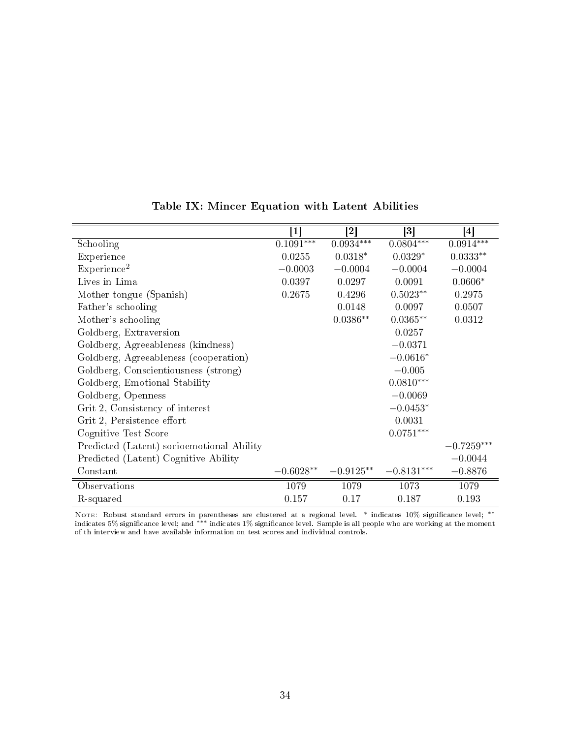|                                           | $\mathbf{ }1\mathbf{ }$ | $\left\lceil 2 \right\rceil$ | $\lceil 3 \rceil$ | $\left[ 4 \right]$ |
|-------------------------------------------|-------------------------|------------------------------|-------------------|--------------------|
| Schooling                                 | $0.1091***$             | $0.0934***$                  | $0.0804***$       | $0.0914***$        |
| Experience                                | 0.0255                  | $0.0318*$                    | $0.0329*$         | $0.0333**$         |
| Experience <sup>2</sup>                   | $-0.0003$               | $-0.0004$                    | $-0.0004$         | $-0.0004$          |
| Lives in Lima                             | 0.0397                  | 0.0297                       | 0.0091            | $0.0606*$          |
| Mother tongue (Spanish)                   | 0.2675                  | 0.4296                       | $0.5023**$        | 0.2975             |
| Father's schooling                        |                         | 0.0148                       | 0.0097            | 0.0507             |
| Mother's schooling                        |                         | $0.0386**$                   | $0.0365**$        | 0.0312             |
| Goldberg, Extraversion                    |                         |                              | 0.0257            |                    |
| Goldberg, Agreeableness (kindness)        |                         |                              | $-0.0371$         |                    |
| Goldberg, Agreeableness (cooperation)     |                         |                              | $-0.0616*$        |                    |
| Goldberg, Conscientiousness (strong)      |                         |                              | $-0.005$          |                    |
| Goldberg, Emotional Stability             |                         |                              | $0.0810***$       |                    |
| Goldberg, Openness                        |                         |                              | $-0.0069$         |                    |
| Grit 2, Consistency of interest           |                         |                              | $-0.0453*$        |                    |
| Grit 2, Persistence effort                |                         |                              | 0.0031            |                    |
| Cognitive Test Score                      |                         |                              | $0.0751***$       |                    |
| Predicted (Latent) socioemotional Ability |                         |                              |                   | $-0.7259***$       |
| Predicted (Latent) Cognitive Ability      |                         |                              |                   | $-0.0044$          |
| Constant                                  | $-0.6028**$             | $-0.9125**$                  | $-0.8131***$      | $-0.8876$          |
| Observations                              | 1079                    | 1079                         | 1073              | 1079               |
| R-squared                                 | 0.157                   | 0.17                         | 0.187             | 0.193              |

Table IX: Mincer Equation with Latent Abilities

Note: Robust standard errors in parentheses are clustered at a regional level. \* indicates 10% significance level; \*\* indicates 5% signicance level; and ∗∗∗ indicates 1% signicance level. Sample is all people who are working at the moment of th interview and have available information on test scores and individual controls.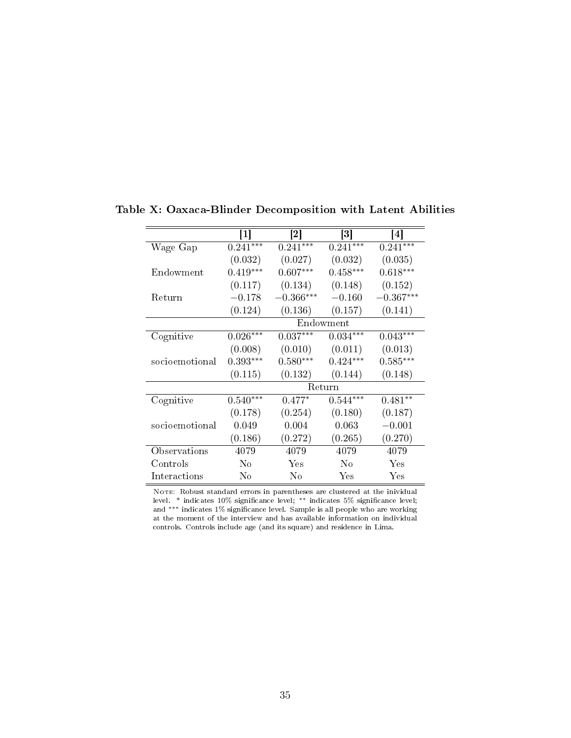|                | 1          | $\left\lceil 2 \right\rceil$ | $\lceil 3 \rceil$ | 4           |
|----------------|------------|------------------------------|-------------------|-------------|
| Wage Gap       | $0.241***$ | $0.241***$                   | $0.241***$        | $0.241***$  |
|                | (0.032)    | (0.027)                      | (0.032)           | (0.035)     |
| Endowment      | $0.419***$ | $0.607***$                   | $0.458***$        | $0.618***$  |
|                | (0.117)    | (0.134)                      | (0.148)           | (0.152)     |
| Return         | $-0.178$   | $-0.366***$                  | $-0.160$          | $-0.367***$ |
|                | (0.124)    | (0.136)                      | (0.157)           | (0.141)     |
|                |            |                              | Endowment         |             |
| Cognitive      | $0.026***$ | $0.037***$                   | $0.034***$        | $0.043***$  |
|                | (0.008)    | (0.010)                      | (0.011)           | (0.013)     |
| socioemotional | $0.393***$ | $0.580***$                   | $0.424***$        | $0.585***$  |
|                | (0.115)    | (0.132)                      | (0.144)           | (0.148)     |
|                |            |                              | Return            |             |
| Cognitive      | $0.540***$ | $0.477*$                     | $0.544***$        | $0.481**$   |
|                | (0.178)    | (0.254)                      | (0.180)           | (0.187)     |
| socioemotional | 0.049      | 0.004                        | 0.063             | $-0.001$    |
|                | (0.186)    | (0.272)                      | (0.265)           | (0.270)     |
| Observations   | 4079       | 4079                         | 4079              | 4079        |
| Controls       | $\rm No$   | Yes                          | No                | Yes         |
| Interactions   | No         | No                           | Yes               | Yes         |

Table X: Oaxaca-Blinder Decomposition with Latent Abilities

NOTE: Robust standard errors in parentheses are clustered at the inividual level. \* indicates 10% signicance level; ∗∗ indicates 5% signicance level; and <sup>∗∗∗</sup> indicates 1% significance level. Sample is all people who are working at the moment of the interview and has available information on individual controls. Controls include age (and its square) and residence in Lima.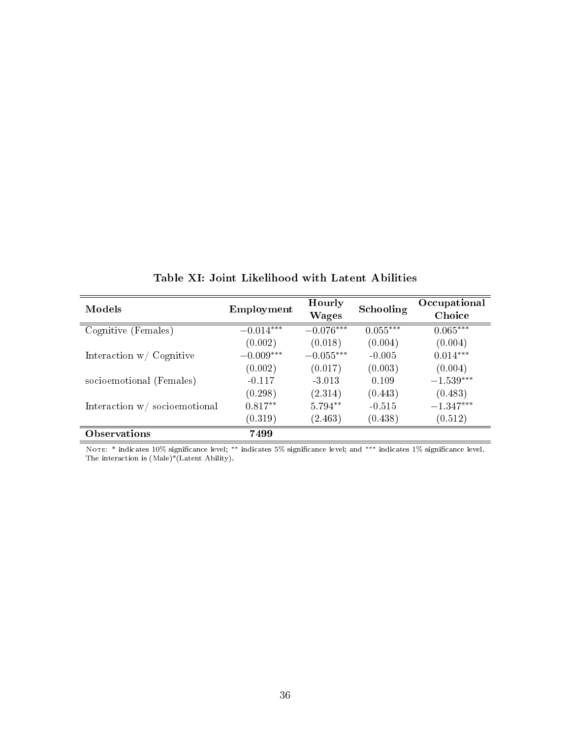| Models                              | Employment  | Hourly<br><b>Wages</b> | Schooling  | Occupational<br>Choice |
|-------------------------------------|-------------|------------------------|------------|------------------------|
| Cognitive (Females)                 | $-0.014***$ | $-0.076***$            | $0.055***$ | $0.065***$             |
|                                     | (0.002)     | (0.018)                | (0.004)    | (0.004)                |
| Interaction $w / \text{ Cognitive}$ | $-0.009***$ | $-0.055***$            | $-0.005$   | $0.014***$             |
|                                     | (0.002)     | (0.017)                | (0.003)    | (0.004)                |
| socioemotional (Females)            | $-0.117$    | $-3.013$               | 0.109      | $-1.539***$            |
|                                     | (0.298)     | (2.314)                | (0.443)    | (0.483)                |
| Interaction $w/$ socioemotional     | $0.817**$   | 5.794**                | $-0.515$   | $-1.347***$            |
|                                     | (0.319)     | (2.463)                | (0.438)    | (0.512)                |
| Observations                        | 7499        |                        |            |                        |

Table XI: Joint Likelihood with Latent Abilities

Note: \* indicates 10% signicance level; ∗∗ indicates 5% signicance level; and ∗∗∗ indicates 1% signicance level. The interaction is (Male)\*(Latent Ability).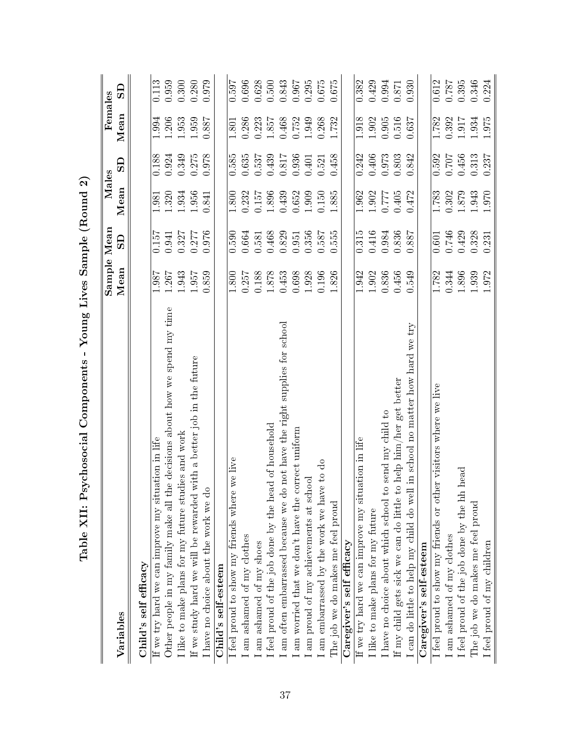| Young Lives Sample (Round 2)<br>Table XII: Psychosocial Components -            |             |                         |       |                |           |           |
|---------------------------------------------------------------------------------|-------------|-------------------------|-------|----------------|-----------|-----------|
|                                                                                 | Sample Mean |                         | Males |                | Females   |           |
| Variables                                                                       | Mean        | $\overline{\mathbf{S}}$ | Mean  | G              | Mean      | සි        |
| Child's self efficacy                                                           |             |                         |       |                |           |           |
| If we try hard we can improve my situation in life                              | 1.987       | 0.157                   | 1.981 | 0.188          | 1.994     | 0.113     |
| Other people in my family make all the decisions about how we spend my time     | 1.267       | 0.941                   | 1.320 | 0.924          | 1.206     | 0.959     |
| I like to make plans for my future studies and work                             | 1.943       | 0.327                   | 1.934 | 0.349          | 1.953     | 0.300     |
| with a better job in the future<br>If we study hard we will be rewarded         | 1.957       | 0.277                   | 1.956 | 0.275          | 1.959     | 0.280     |
| I have no choice about the work we do                                           | 0.859       | 0.976                   | 0.841 | 0.978          | 0.887     | 0.979     |
| Child's self-esteem                                                             |             |                         |       |                |           |           |
| we live<br>I feel proud to show my friends where                                | 1.800       | 0.590                   | 1.800 | 0.585          | 1.801     | 0.597     |
| I am ashamed of my clothes                                                      | 0.257       | 0.664                   | 0.232 | 0.635          | 0.286     | 0.696     |
| am ashamed of my shoes                                                          | 0.188       | 0.581                   | 0.157 | 0.537          | 0.223     | 0.628     |
| I feel proud of the job done by the head of household                           | $1.878$     | 0.468                   | 1.896 | 0.439          | 1.857     | 0.500     |
| am often embarrassed because we do not have the right supplies for school       | 0.453       | 0.829                   | 0.439 | $0.817\,$      | 0.468     | 0.843     |
| I am worried that we don't have the correct uniform                             | 0.698       | 0.951                   | 0.652 | 0.936          | 0.752     | 0.967     |
| I am proud of my achievements at school                                         | 1.928       | 0.356                   | 1.909 | 0.401          | 1.949     | 0.295     |
| I am embarrassed by the work we have to do                                      | 0.196       | 0.587                   | 0.150 | 0.521          | 0.268     | 0.675     |
| The job we do makes me feel proud                                               | 1.826       | 0.555                   | 1.885 | 0.458          | 1.732     | 0.675     |
| Caregiver's self efficacy                                                       |             |                         |       |                |           |           |
| If we try hard we can improve my situation in life                              | 1.942       | 0.315                   | 1.962 | 0.242          | 1.918     | 0.382     |
| I like to make plans for my future                                              | 1.902       | 0.416                   | 1.902 | 0.406          | 1.902     | 0.429     |
| send my child to<br>I have no choice about which school to                      | 0.836       | 0.984                   | 1777  | 0.973<br>0.803 | $0.905\,$ | 0.994     |
| If my child gets sick we can do little to help $\lim/\text{her}$ get better     | 0.456       | 0.836                   | 0.405 |                | 0.516     | $0.871\,$ |
| in school no matter how hard we try<br>I can do little to help my child do well | 0.549       | 188.0                   | 0.472 | 0.842          | 0.637     | 0.930     |
| Caregiver's self-esteem                                                         |             |                         |       |                |           |           |
| er visitors where we live<br>I feel proud to show my friends or oth             | 1.782       | 0.601                   | 1.783 | 0.592          | 1.782     | 0.612     |
| am ashamed of my clothes                                                        | 0.344       | 0.746                   | 0.302 | 0.707          | 0.392     | 1810      |
| head<br>I feel proud of the job done by the hh                                  | 1.896       | 0.429                   | 1.879 | 0.456          | 1.917     | 0.395     |
| The job we do makes me feel proud                                               | 1.939       | 0.328<br>0.231          | 1.943 | 0.313<br>0.237 | 1.934     | 0.346     |
| I feel proud of my children                                                     | 1.972       |                         | 1.970 |                | 1.975     | 0.224     |

 $\tilde{c}$  $\Theta$ è ů Ė  $\overline{\mathbf{v}}$  $\zeta$  $\overline{a}$ j. ¢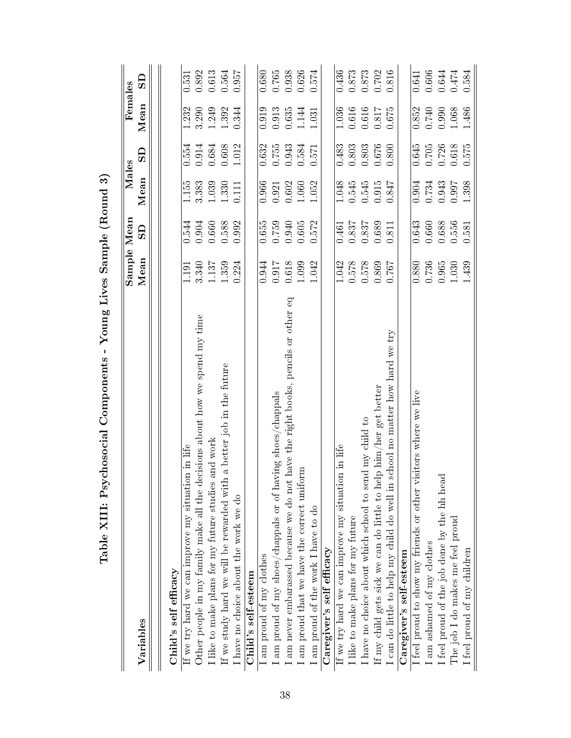| chosocial Components - Young Lives Sample (Round 3)<br>Table XIII: Psy             |             |           |       |           |         |           |
|------------------------------------------------------------------------------------|-------------|-----------|-------|-----------|---------|-----------|
|                                                                                    | Sample Mean |           | Males |           | Females |           |
| Variables                                                                          | Mean        | ဌ         | Mean  | $\Omega$  | Mean    | ဌ         |
|                                                                                    |             |           |       |           |         |           |
| Child's self efficacy                                                              |             |           |       |           |         |           |
| If we try hard we can improve my situation in life                                 | 119         | 0.544     | 1.155 | 0.554     | 1.232   | 0.531     |
| Other people in my family make all the decisions about how we spend my time        | 3.340       | 0.904     | 3.383 | 0.914     | 3.290   | 0.892     |
| and work<br>I like to make plans for my future studies                             | 1.137       | 0.660     | 1.039 | 0.684     | 1.249   | 0.613     |
| a better job in the future<br>If we study hard we will be rewarded with            | 1.359       | 0.588     | 1.330 | $0.608\,$ | 1.392   | 0.564     |
| I have no choice about the work we do                                              | 0.224       | 0.992     | 0.111 | 1.012     | 0.344   | 0.957     |
| Child's self-esteem                                                                |             |           |       |           |         |           |
| am proud of my clothes                                                             | 0.944       | 0.655     | 0.966 | 0.632     | 0.919   | 0.680     |
| am proud of my shoes/chappals or of having shoes/chappals                          | 0.917       | 0.759     | 0.921 | 0.755     | 0.913   | $0.765\,$ |
| have the right books, pencils or other eq<br>am never embarassed because we do not | 0.618       | 0.940     | 0.602 | 0.943     | 0.635   | 0.938     |
| I am proud that we have the correct uniform                                        | 1.099       | $0.605\,$ | 1.060 | 0.584     | 1.144   | 0.626     |
| I am proud of the work I have to do                                                | 1.042       | 0.572     | 1.052 | 0.571     | 1.031   | 0.574     |
| Caregiver's self efficacy                                                          |             |           |       |           |         |           |
| If we try hard we can improve my situation in life                                 | 1.042       | 0.461     | 1.048 | 0.483     | 1.036   | 0.436     |
| I like to make plans for my future                                                 | 0.578       | 0.837     | 0.545 | 0.803     | 0.616   | 0.873     |
| I have no choice about which school to send my child to                            | 0.578       | 0.837     | 0.545 | $0.803\,$ | 0.616   | 0.873     |
| If my child gets sick we can do little to help him/her get better                  | 0.869       | 0.689     | 0.915 | 0.676     | 0.817   | 0.702     |
| no matter how hard we try<br>school<br>can do little to help my child do well in   | 1920        | 0.811     | 0.847 | 0.800     | 0.675   | 0.816     |
| Caregiver's self-esteem                                                            |             |           |       |           |         |           |
| isitors where we live<br>feel proud to show my friends or other vi                 | 0.880       | 0.643     | 0.904 | 0.645     | 0.852   | 0.641     |
| am ashamed of my clothes                                                           | 0.736       | 0.660     | 0.734 | 0.705     | 0.740   | 0.606     |
| I feel proud of the job done by the hh head                                        | 0.965       | 0.688     | 0.943 | 0.726     | 0.990   | 0.644     |
| The job I do makes me feel proud                                                   | 1.030       | 0.556     | 0.997 | 0.618     | 1.068   | 0.474     |
| I feel proud of my children                                                        | 1.439       | 0.581     | 1.398 | 0.575     | 1.486   | 0.584     |

 $\frac{3}{4}$  $\overline{P}$ è  $\dot{q}$  $\ddot{\phantom{0}}$ Ĥ  $\triangleright$ Ĺ,  $\zeta$  $\overline{a}$ è P  $\sqrt{111}$  $\mathbf{T}_\mathbf{a}$ hl $\mathbf{a}$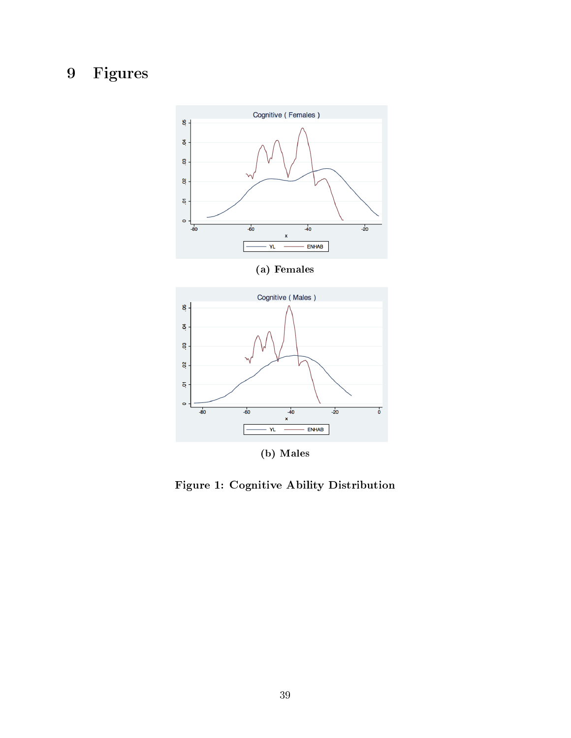# 9 Figures





(b) Males

Figure 1: Cognitive Ability Distribution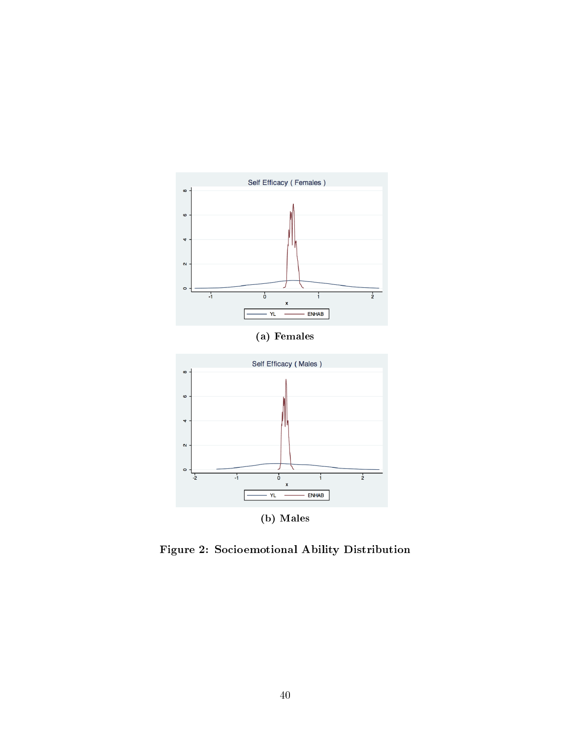

Figure 2: Socioemotional Ability Distribution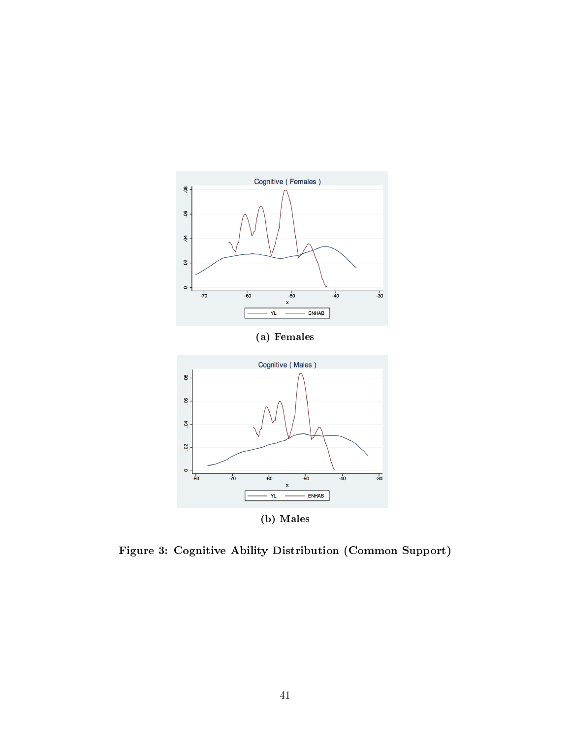

Figure 3: Cognitive Ability Distribution (Common Support)